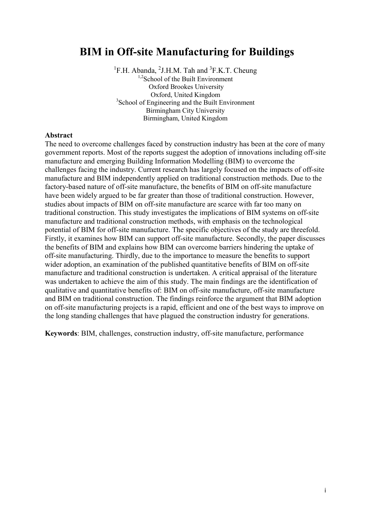# **BIM in Off-site Manufacturing for Buildings**

<sup>1</sup>F.H. Abanda, <sup>2</sup>J.H.M. Tah and <sup>3</sup>F.K.T. Cheung <sup>1,2</sup>School of the Built Environment Oxford Brookes University Oxford, United Kingdom <sup>3</sup>School of Engineering and the Built Environment Birmingham City University Birmingham, United Kingdom

### **Abstract**

The need to overcome challenges faced by construction industry has been at the core of many government reports. Most of the reports suggest the adoption of innovations including off-site manufacture and emerging Building Information Modelling (BIM) to overcome the challenges facing the industry. Current research has largely focused on the impacts of off-site manufacture and BIM independently applied on traditional construction methods. Due to the factory-based nature of off-site manufacture, the benefits of BIM on off-site manufacture have been widely argued to be far greater than those of traditional construction. However, studies about impacts of BIM on off-site manufacture are scarce with far too many on traditional construction. This study investigates the implications of BIM systems on off-site manufacture and traditional construction methods, with emphasis on the technological potential of BIM for off-site manufacture. The specific objectives of the study are threefold. Firstly, it examines how BIM can support off-site manufacture. Secondly, the paper discusses the benefits of BIM and explains how BIM can overcome barriers hindering the uptake of off-site manufacturing. Thirdly, due to the importance to measure the benefits to support wider adoption, an examination of the published quantitative benefits of BIM on off-site manufacture and traditional construction is undertaken. A critical appraisal of the literature was undertaken to achieve the aim of this study. The main findings are the identification of qualitative and quantitative benefits of: BIM on off-site manufacture, off-site manufacture and BIM on traditional construction. The findings reinforce the argument that BIM adoption on off-site manufacturing projects is a rapid, efficient and one of the best ways to improve on the long standing challenges that have plagued the construction industry for generations.

**Keywords**: BIM, challenges, construction industry, off-site manufacture, performance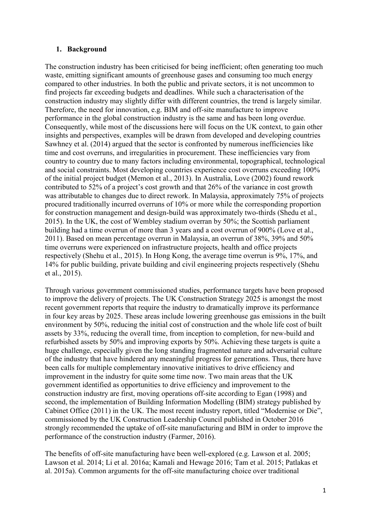### **1. Background**

The construction industry has been criticised for being inefficient; often generating too much waste, emitting significant amounts of greenhouse gases and consuming too much energy compared to other industries. In both the public and private sectors, it is not uncommon to find projects far exceeding budgets and deadlines. While such a characterisation of the construction industry may slightly differ with different countries, the trend is largely similar. Therefore, the need for innovation, e.g. BIM and off-site manufacture to improve performance in the global construction industry is the same and has been long overdue. Consequently, while most of the discussions here will focus on the UK context, to gain other insights and perspectives, examples will be drawn from developed and developing countries Sawhney et al. (2014) argued that the sector is confronted by numerous inefficiencies like time and cost overruns, and irregularities in procurement. These inefficiencies vary from country to country due to many factors including environmental, topographical, technological and social constraints. Most developing countries experience cost overruns exceeding 100% of the initial project budget (Memon et al., 2013). In Australia, Love (2002) found rework contributed to 52% of a project's cost growth and that 26% of the variance in cost growth was attributable to changes due to direct rework. In Malaysia, approximately 75% of projects procured traditionally incurred overruns of 10% or more while the corresponding proportion for construction management and design-build was approximately two-thirds (Shedu et al., 2015). In the UK, the cost of Wembley stadium overran by 50%; the Scottish parliament building had a time overrun of more than 3 years and a cost overrun of 900% (Love et al., 2011). Based on mean percentage overrun in Malaysia, an overrun of 38%, 39% and 50% time overruns were experienced on infrastructure projects, health and office projects respectively (Shehu et al., 2015). In Hong Kong, the average time overrun is 9%, 17%, and 14% for public building, private building and civil engineering projects respectively (Shehu et al., 2015).

Through various government commissioned studies, performance targets have been proposed to improve the delivery of projects. The UK Construction Strategy 2025 is amongst the most recent government reports that require the industry to dramatically improve its performance in four key areas by 2025. These areas include lowering greenhouse gas emissions in the built environment by 50%, reducing the initial cost of construction and the whole life cost of built assets by 33%, reducing the overall time, from inception to completion, for new-build and refurbished assets by 50% and improving exports by 50%. Achieving these targets is quite a huge challenge, especially given the long standing fragmented nature and adversarial culture of the industry that have hindered any meaningful progress for generations. Thus, there have been calls for multiple complementary innovative initiatives to drive efficiency and improvement in the industry for quite some time now. Two main areas that the UK government identified as opportunities to drive efficiency and improvement to the construction industry are first, moving operations off-site according to Egan (1998) and second, the implementation of Building Information Modelling (BIM) strategy published by Cabinet Office (2011) in the UK. The most recent industry report, titled "Modernise or Die", commissioned by the UK Construction Leadership Council published in October 2016 strongly recommended the uptake of off-site manufacturing and BIM in order to improve the performance of the construction industry (Farmer, 2016).

The benefits of off-site manufacturing have been well-explored (e.g. Lawson et al. 2005; Lawson et al. 2014; Li et al. 2016a; Kamali and Hewage 2016; Tam et al. 2015; Patlakas et al. 2015a). Common arguments for the off-site manufacturing choice over traditional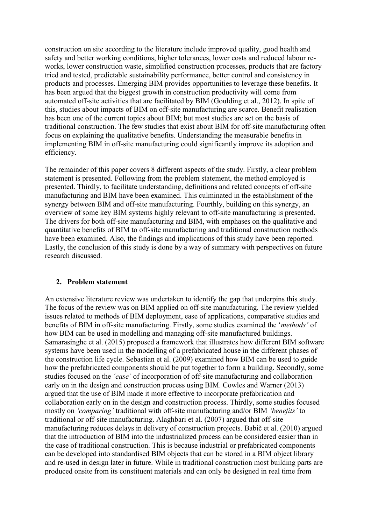construction on site according to the literature include improved quality, good health and safety and better working conditions, higher tolerances, lower costs and reduced labour reworks, lower construction waste, simplified construction processes, products that are factory tried and tested, predictable sustainability performance, better control and consistency in products and processes. Emerging BIM provides opportunities to leverage these benefits. It has been argued that the biggest growth in construction productivity will come from automated off-site activities that are facilitated by BIM (Goulding et al., 2012). In spite of this, studies about impacts of BIM on off-site manufacturing are scarce. Benefit realisation has been one of the current topics about BIM; but most studies are set on the basis of traditional construction. The few studies that exist about BIM for off-site manufacturing often focus on explaining the qualitative benefits. Understanding the measurable benefits in implementing BIM in off-site manufacturing could significantly improve its adoption and efficiency.

The remainder of this paper covers 8 different aspects of the study. Firstly, a clear problem statement is presented. Following from the problem statement, the method employed is presented. Thirdly, to facilitate understanding, definitions and related concepts of off-site manufacturing and BIM have been examined. This culminated in the establishment of the synergy between BIM and off-site manufacturing. Fourthly, building on this synergy, an overview of some key BIM systems highly relevant to off-site manufacturing is presented. The drivers for both off-site manufacturing and BIM, with emphases on the qualitative and quantitative benefits of BIM to off-site manufacturing and traditional construction methods have been examined. Also, the findings and implications of this study have been reported. Lastly, the conclusion of this study is done by a way of summary with perspectives on future research discussed.

### **2. Problem statement**

An extensive literature review was undertaken to identify the gap that underpins this study. The focus of the review was on BIM applied on off-site manufacturing. The review yielded issues related to methods of BIM deployment, ease of applications, comparative studies and benefits of BIM in off-site manufacturing. Firstly, some studies examined the '*methods'* of how BIM can be used in modelling and managing off-site manufactured buildings. Samarasinghe et al. (2015) proposed a framework that illustrates how different BIM software systems have been used in the modelling of a prefabricated house in the different phases of the construction life cycle. Sebastian et al. (2009) examined how BIM can be used to guide how the prefabricated components should be put together to form a building. Secondly, some studies focused on the *'ease'* of incorporation of off-site manufacturing and collaboration early on in the design and construction process using BIM. Cowles and Warner (2013) argued that the use of BIM made it more effective to incorporate prefabrication and collaboration early on in the design and construction process. Thirdly, some studies focused mostly on *'comparing'* traditional with off-site manufacturing and/or BIM *'benefits'* to traditional or off-site manufacturing. Alaghbari et al. (2007) argued that off-site manufacturing reduces delays in delivery of construction projects. Babič et al. (2010) argued that the introduction of BIM into the industrialized process can be considered easier than in the case of traditional construction. This is because industrial or prefabricated components can be developed into standardised BIM objects that can be stored in a BIM object library and re-used in design later in future. While in traditional construction most building parts are produced onsite from its constituent materials and can only be designed in real time from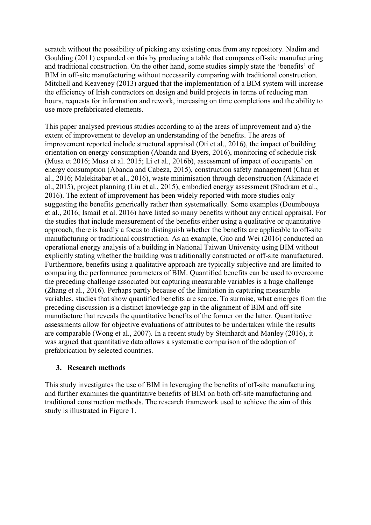scratch without the possibility of picking any existing ones from any repository. Nadim and Goulding (2011) expanded on this by producing a table that compares off-site manufacturing and traditional construction. On the other hand, some studies simply state the 'benefits' of BIM in off-site manufacturing without necessarily comparing with traditional construction. Mitchell and Keaveney (2013) argued that the implementation of a BIM system will increase the efficiency of Irish contractors on design and build projects in terms of reducing man hours, requests for information and rework, increasing on time completions and the ability to use more prefabricated elements.

This paper analysed previous studies according to a) the areas of improvement and a) the extent of improvement to develop an understanding of the benefits. The areas of improvement reported include structural appraisal (Oti et al., 2016), the impact of building orientation on energy consumption (Abanda and Byers, 2016), monitoring of schedule risk (Musa et 2016; Musa et al. 2015; Li et al., 2016b), assessment of impact of occupants' on energy consumption (Abanda and Cabeza, 2015), construction safety management (Chan et al., 2016; Malekitabar et al., 2016), waste minimisation through deconstruction (Akinade et al., 2015), project planning (Liu et al., 2015), embodied energy assessment (Shadram et al., 2016). The extent of improvement has been widely reported with more studies only suggesting the benefits generically rather than systematically. Some examples (Doumbouya et al., 2016; Ismail et al. 2016) have listed so many benefits without any critical appraisal. For the studies that include measurement of the benefits either using a qualitative or quantitative approach, there is hardly a focus to distinguish whether the benefits are applicable to off-site manufacturing or traditional construction. As an example, Guo and Wei (2016) conducted an operational energy analysis of a building in National Taiwan University using BIM without explicitly stating whether the building was traditionally constructed or off-site manufactured. Furthermore, benefits using a qualitative approach are typically subjective and are limited to comparing the performance parameters of BIM. Quantified benefits can be used to overcome the preceding challenge associated but capturing measurable variables is a huge challenge (Zhang et al., 2016). Perhaps partly because of the limitation in capturing measurable variables, studies that show quantified benefits are scarce. To surmise, what emerges from the preceding discussion is a distinct knowledge gap in the alignment of BIM and off-site manufacture that reveals the quantitative benefits of the former on the latter. Quantitative assessments allow for objective evaluations of attributes to be undertaken while the results are comparable (Wong et al., 2007). In a recent study by Steinhardt and Manley (2016), it was argued that quantitative data allows a systematic comparison of the adoption of prefabrication by selected countries.

## **3. Research methods**

This study investigates the use of BIM in leveraging the benefits of off-site manufacturing and further examines the quantitative benefits of BIM on both off-site manufacturing and traditional construction methods. The research framework used to achieve the aim of this study is illustrated in Figure 1.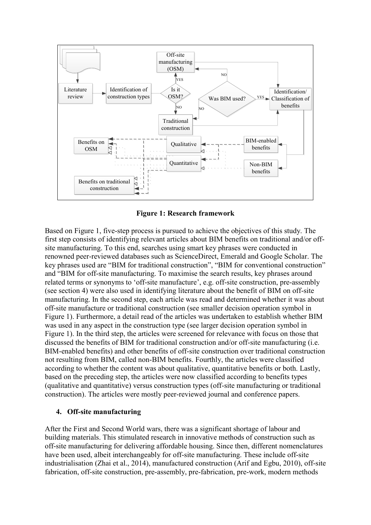

**Figure 1: Research framework** 

Based on Figure 1, five-step process is pursued to achieve the objectives of this study. The first step consists of identifying relevant articles about BIM benefits on traditional and/or offsite manufacturing. To this end, searches using smart key phrases were conducted in renowned peer-reviewed databases such as ScienceDirect, Emerald and Google Scholar. The key phrases used are "BIM for traditional construction", "BIM for conventional construction" and "BIM for off-site manufacturing. To maximise the search results, key phrases around related terms or synonyms to 'off-site manufacture', e.g. off-site construction, pre-assembly (see section 4) were also used in identifying literature about the benefit of BIM on off-site manufacturing. In the second step, each article was read and determined whether it was about off-site manufacture or traditional construction (see smaller decision operation symbol in Figure 1). Furthermore, a detail read of the articles was undertaken to establish whether BIM was used in any aspect in the construction type (see larger decision operation symbol in Figure 1). In the third step, the articles were screened for relevance with focus on those that discussed the benefits of BIM for traditional construction and/or off-site manufacturing (i.e. BIM-enabled benefits) and other benefits of off-site construction over traditional construction not resulting from BIM, called non-BIM benefits. Fourthly, the articles were classified according to whether the content was about qualitative, quantitative benefits or both. Lastly, based on the preceding step, the articles were now classified according to benefits types (qualitative and quantitative) versus construction types (off-site manufacturing or traditional construction). The articles were mostly peer-reviewed journal and conference papers.

## **4. Off-site manufacturing**

After the First and Second World wars, there was a significant shortage of labour and building materials. This stimulated research in innovative methods of construction such as off-site manufacturing for delivering affordable housing. Since then, different nomenclatures have been used, albeit interchangeably for off-site manufacturing. These include off-site industrialisation (Zhai et al., 2014), manufactured construction (Arif and Egbu, 2010), off-site fabrication, off-site construction, pre-assembly, pre-fabrication, pre-work, modern methods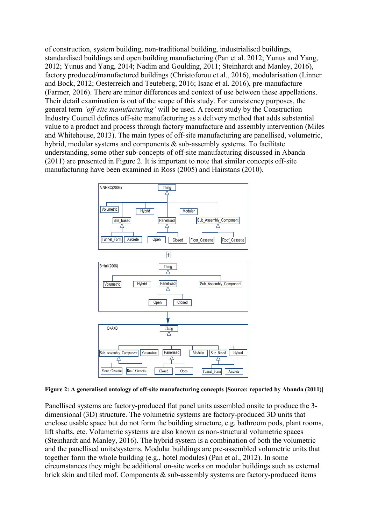of construction, system building, non-traditional building, industrialised buildings, standardised buildings and open building manufacturing (Pan et al. 2012; Yunus and Yang, 2012; Yunus and Yang, 2014; Nadim and Goulding, 2011; Steinhardt and Manley, 2016), factory produced/manufactured buildings (Christoforou et al., 2016), modularisation (Linner and Bock, 2012; Oesterreich and Teuteberg, 2016; Isaac et al. 2016), pre-manufacture (Farmer, 2016). There are minor differences and context of use between these appellations. Their detail examination is out of the scope of this study. For consistency purposes, the general term *'off-site manufacturing'* will be used. A recent study by the Construction Industry Council defines off-site manufacturing as a delivery method that adds substantial value to a product and process through factory manufacture and assembly intervention (Miles and Whitehouse, 2013). The main types of off-site manufacturing are panellised, volumetric, hybrid, modular systems and components & sub-assembly systems. To facilitate understanding, some other sub-concepts of off-site manufacturing discussed in Abanda (2011) are presented in Figure 2. It is important to note that similar concepts off-site manufacturing have been examined in Ross (2005) and [Hairstans](https://www.amazon.co.uk/Robert-Hairstans/e/B0057PQ36I/ref=dp_byline_cont_book_1) (2010).



**Figure 2: A generalised ontology of off-site manufacturing concepts [Source: reported by Abanda (2011)]**

Panellised systems are factory-produced flat panel units assembled onsite to produce the 3 dimensional (3D) structure. The volumetric systems are factory-produced 3D units that enclose usable space but do not form the building structure, e.g. bathroom pods, plant rooms, lift shafts, etc. Volumetric systems are also known as non-structural volumetric spaces (Steinhardt and Manley, 2016). The hybrid system is a combination of both the volumetric and the panellised units/systems. Modular buildings are pre-assembled volumetric units that together form the whole building (e.g., hotel modules) (Pan et al., 2012). In some circumstances they might be additional on-site works on modular buildings such as external brick skin and tiled roof. Components & sub-assembly systems are factory-produced items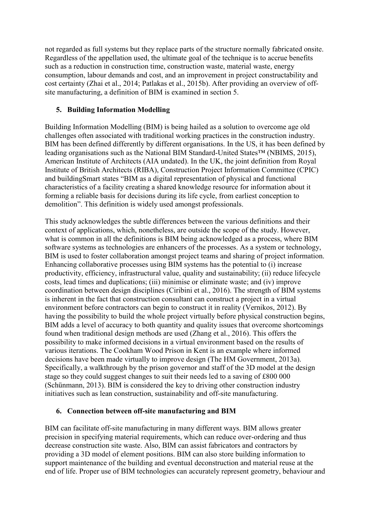not regarded as full systems but they replace parts of the structure normally fabricated onsite. Regardless of the appellation used, the ultimate goal of the technique is to accrue benefits such as a reduction in construction time, construction waste, material waste, energy consumption, labour demands and cost, and an improvement in project constructability and cost certainty (Zhai et al., 2014; Patlakas et al., 2015b). After providing an overview of offsite manufacturing, a definition of BIM is examined in section 5.

## **5. Building Information Modelling**

Building Information Modelling (BIM) is being hailed as a solution to overcome age old challenges often associated with traditional working practices in the construction industry. BIM has been defined differently by different organisations. In the US, it has been defined by leading organisations such as the National BIM Standard-United States™ (NBIMS, 2015), American Institute of Architects (AIA undated). In the UK, the joint definition from Royal Institute of British Architects (RIBA), Construction Project Information Committee (CPIC) and buildingSmart states "BIM as a digital representation of physical and functional characteristics of a facility creating a shared knowledge resource for information about it forming a reliable basis for decisions during its life cycle, from earliest conception to demolition". This definition is widely used amongst professionals.

This study acknowledges the subtle differences between the various definitions and their context of applications, which, nonetheless, are outside the scope of the study. However, what is common in all the definitions is BIM being acknowledged as a process, where BIM software systems as technologies are enhancers of the processes. As a system or technology, BIM is used to foster collaboration amongst project teams and sharing of project information. Enhancing collaborative processes using BIM systems has the potential to (i) increase productivity, efficiency, infrastructural value, quality and sustainability; (ii) reduce lifecycle costs, lead times and duplications; (iii) minimise or eliminate waste; and (iv) improve coordination between design disciplines (Ciribini et al., 2016). The strength of BIM systems is inherent in the fact that construction consultant can construct a project in a virtual environment before contractors can begin to construct it in reality (Vernikos, 2012). By having the possibility to build the whole project virtually before physical construction begins, BIM adds a level of accuracy to both quantity and quality issues that overcome shortcomings found when traditional design methods are used (Zhang et al., 2016). This offers the possibility to make informed decisions in a virtual environment based on the results of various iterations. The Cookham Wood Prison in Kent is an example where informed decisions have been made virtually to improve design (The HM Government, 2013a). Specifically, a walkthrough by the prison governor and staff of the 3D model at the design stage so they could suggest changes to suit their needs led to a saving of £800 000 (Schünmann, 2013). BIM is considered the key to driving other construction industry initiatives such as lean construction, sustainability and off-site manufacturing.

## **6. Connection between off-site manufacturing and BIM**

BIM can facilitate off-site manufacturing in many different ways. BIM allows greater precision in specifying material requirements, which can reduce over-ordering and thus decrease construction site waste. Also, BIM can assist fabricators and contractors by providing a 3D model of element positions. BIM can also store building information to support maintenance of the building and eventual deconstruction and material reuse at the end of life. Proper use of BIM technologies can accurately represent geometry, behaviour and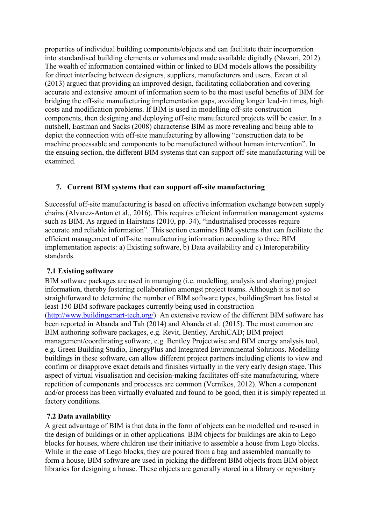properties of individual building components/objects and can facilitate their incorporation into standardised building elements or volumes and made available digitally (Nawari, 2012). The wealth of information contained within or linked to BIM models allows the possibility for direct interfacing between designers, suppliers, manufacturers and users. Ezcan et al. (2013) argued that providing an improved design, facilitating collaboration and covering accurate and extensive amount of information seem to be the most useful benefits of BIM for bridging the off-site manufacturing implementation gaps, avoiding longer lead-in times, high costs and modification problems. If BIM is used in modelling off-site construction components, then designing and deploying off-site manufactured projects will be easier. In a nutshell, Eastman and Sacks (2008) characterise BIM as more revealing and being able to depict the connection with off-site manufacturing by allowing "construction data to be machine processable and components to be manufactured without human intervention". In the ensuing section, the different BIM systems that can support off-site manufacturing will be examined.

## **7. Current BIM systems that can support off-site manufacturing**

Successful off-site manufacturing is based on effective information exchange between supply chains (Alvarez-Anton et al., 2016). This requires efficient information management systems such as BIM. As argued in Hairstans (2010, pp. 34), "industrialised processes require accurate and reliable information". This section examines BIM systems that can facilitate the efficient management of off-site manufacturing information according to three BIM implementation aspects: a) Existing software, b) Data availability and c) Interoperability standards.

## **7.1 Existing software**

BIM software packages are used in managing (i.e. modelling, analysis and sharing) project information, thereby fostering collaboration amongst project teams. Although it is not so straightforward to determine the number of BIM software types, buildingSmart has listed at least 150 BIM software packages currently being used in construction [\(http://www.buildingsmart-tech.org/\)](http://www.buildingsmart-tech.org/). An extensive review of the different BIM software has been reported in Abanda and Tah (2014) and Abanda et al. (2015). The most common are BIM authoring software packages, e.g. Revit, Bentley, ArchiCAD; BIM project management/coordinating software, e.g. Bentley Projectwise and BIM energy analysis tool, e.g. Green Building Studio, EnergyPlus and Integrated Environmental Solutions. Modelling buildings in these software, can allow different project partners including clients to view and confirm or disapprove exact details and finishes virtually in the very early design stage. This aspect of virtual visualisation and decision-making facilitates off-site manufacturing, where repetition of components and processes are common (Vernikos, 2012). When a component and/or process has been virtually evaluated and found to be good, then it is simply repeated in factory conditions.

## **7.2 Data availability**

A great advantage of BIM is that data in the form of objects can be modelled and re-used in the design of buildings or in other applications. BIM objects for buildings are akin to Lego blocks for houses, where children use their initiative to assemble a house from Lego blocks. While in the case of Lego blocks, they are poured from a bag and assembled manually to form a house, BIM software are used in picking the different BIM objects from BIM object libraries for designing a house. These objects are generally stored in a library or repository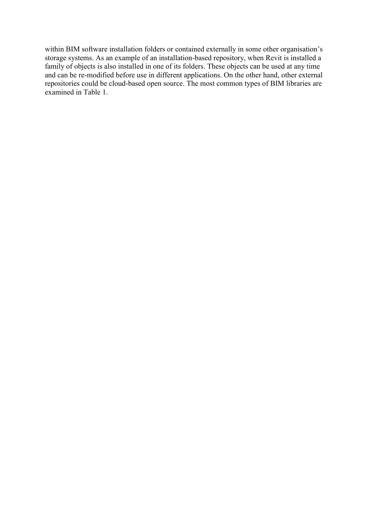within BIM software installation folders or contained externally in some other organisation's storage systems. As an example of an installation-based repository, when Revit is installed a family of objects is also installed in one of its folders. These objects can be used at any time and can be re-modified before use in different applications. On the other hand, other external repositories could be cloud-based open source. The most common types of BIM libraries are examined in Table 1.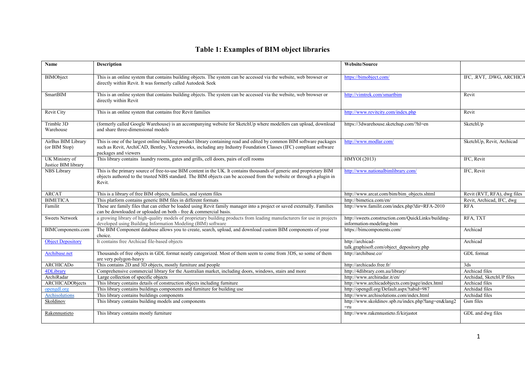## **Table 1: Examples of BIM object libraries**

| <b>BIMObject</b><br>This is an online system that contains building objects. The system can be accessed via the website, web browser or<br>https://bimobject.com/<br>directly within Revit. It was formerly called Autodesk Seek<br>This is an online system that contains building objects. The system can be accessed via the website, web browser or<br>SmartBIM<br>http://vimtrek.com/smartbim<br>directly within Revit<br>This is an online system that contains free Revit families<br>Revit City<br>http://www.revitcity.com/index.php<br>Trimble 3D<br>(formerly called Google Warehouse) is an accompanying website for SketchUp where modellers can upload, download<br>https://3dwarehouse.sketchup.com/?hl=en<br>Warehouse<br>and share three-dimensional models<br>This is one of the largest online building product library containing read and edited by common BIM software packages<br>http://www.modlar.com/<br>AirBus BIM Library | IFC, .RVT, .DWG, ARCHICA<br>Revit<br>Revit<br>SketchUp |
|-------------------------------------------------------------------------------------------------------------------------------------------------------------------------------------------------------------------------------------------------------------------------------------------------------------------------------------------------------------------------------------------------------------------------------------------------------------------------------------------------------------------------------------------------------------------------------------------------------------------------------------------------------------------------------------------------------------------------------------------------------------------------------------------------------------------------------------------------------------------------------------------------------------------------------------------------------|--------------------------------------------------------|
|                                                                                                                                                                                                                                                                                                                                                                                                                                                                                                                                                                                                                                                                                                                                                                                                                                                                                                                                                       |                                                        |
|                                                                                                                                                                                                                                                                                                                                                                                                                                                                                                                                                                                                                                                                                                                                                                                                                                                                                                                                                       |                                                        |
|                                                                                                                                                                                                                                                                                                                                                                                                                                                                                                                                                                                                                                                                                                                                                                                                                                                                                                                                                       |                                                        |
|                                                                                                                                                                                                                                                                                                                                                                                                                                                                                                                                                                                                                                                                                                                                                                                                                                                                                                                                                       |                                                        |
| such as Revit, ArchiCAD, Bentley, Vectorworks, including any Industry Foundation Classes (IFC) compliant software<br>(or BIM Stop)<br>packages and viewers                                                                                                                                                                                                                                                                                                                                                                                                                                                                                                                                                                                                                                                                                                                                                                                            | SketchUp, Revit, Archicad                              |
| This library contains laundry rooms, gates and grills, cell doors, pairs of cell rooms<br>UK Ministry of<br><b>HMYOI</b> (2013)<br>Justice BIM library                                                                                                                                                                                                                                                                                                                                                                                                                                                                                                                                                                                                                                                                                                                                                                                                | IFC, Revit                                             |
| NBS Library<br>This is the primary source of free-to-use BIM content in the UK. It contains thousands of generic and proprietary BIM<br>http://www.nationalbimlibrary.com/<br>objects authored to the trusted NBS standard. The BIM objects can be accessed from the website or through a plugin in<br>Revit.                                                                                                                                                                                                                                                                                                                                                                                                                                                                                                                                                                                                                                         | IFC, Revit                                             |
| <b>ARCAT</b><br>This is a library of free BIM objects, families, and system files<br>http://www.arcat.com/bim/bim objects.shtml                                                                                                                                                                                                                                                                                                                                                                                                                                                                                                                                                                                                                                                                                                                                                                                                                       | Revit (RVT, RFA), dwg files                            |
| <b>BIMETICA</b><br>This platform contains generic BIM files in different formats<br>http://bimetica.com/en/                                                                                                                                                                                                                                                                                                                                                                                                                                                                                                                                                                                                                                                                                                                                                                                                                                           | Revit, Archicad, IFC, dwg                              |
| These are family files that can either be loaded using Revit family manager into a project or saved externally. Families<br>http://www.familit.com/index.php?dir=RFA-2010<br>Familit<br>can be downloaded or uploaded on both - free & commercial basis.                                                                                                                                                                                                                                                                                                                                                                                                                                                                                                                                                                                                                                                                                              | <b>RFA</b>                                             |
| a growing library of high-quality models of proprietary building products from leading manufacturers for use in projects<br><b>Sweets Network</b><br>http://sweets.construction.com/QuickLinks/building-<br>developed using Building Information Modeling (BIM) software<br>information-modeling-bim                                                                                                                                                                                                                                                                                                                                                                                                                                                                                                                                                                                                                                                  | RFA, TXT                                               |
| The BIM Component database allows you to create, search, upload, and download custom BIM components of your<br>https://bimcomponents.com/<br><b>BIMComponents.com</b><br>choice.                                                                                                                                                                                                                                                                                                                                                                                                                                                                                                                                                                                                                                                                                                                                                                      | Archicad                                               |
|                                                                                                                                                                                                                                                                                                                                                                                                                                                                                                                                                                                                                                                                                                                                                                                                                                                                                                                                                       | Archicad                                               |
| It contains free Archicad file-based objects<br>http://archicad-<br><b>Object Depository</b><br>talk.graphisoft.com/object_depository.php                                                                                                                                                                                                                                                                                                                                                                                                                                                                                                                                                                                                                                                                                                                                                                                                             |                                                        |
| Thousands of free objects in GDL format neatly categorized. Most of them seem to come from 3DS, so some of them<br>http://archibase.co/<br>Archibase.net                                                                                                                                                                                                                                                                                                                                                                                                                                                                                                                                                                                                                                                                                                                                                                                              | GDL format                                             |
| are very polygon-heavy<br><b>ARCHICADo</b><br>This contains 2D and 3D objects, mostly furniture and people<br>http://archicado.free.fr/                                                                                                                                                                                                                                                                                                                                                                                                                                                                                                                                                                                                                                                                                                                                                                                                               | 3d <sub>s</sub>                                        |
| Comprehensive commercial library for the Australian market, including doors, windows, stairs and more<br>4DLibrary<br>http://4dlibrary.com.au/library/                                                                                                                                                                                                                                                                                                                                                                                                                                                                                                                                                                                                                                                                                                                                                                                                | Archicad files                                         |
| http://www.archiradar.it/en/<br>ArchiRadar<br>Large collection of specific objects                                                                                                                                                                                                                                                                                                                                                                                                                                                                                                                                                                                                                                                                                                                                                                                                                                                                    | Archidad, SketchUP files                               |
| ARCHICADObjects<br>This library contains details of construction objects including furniture<br>http://www.archicadobjects.com/page/index.html                                                                                                                                                                                                                                                                                                                                                                                                                                                                                                                                                                                                                                                                                                                                                                                                        | Archicad files                                         |
| This library contains buildings components and furniture for building use<br>http://opengdl.org/Default.aspx?tabid=987<br>opengdl.org                                                                                                                                                                                                                                                                                                                                                                                                                                                                                                                                                                                                                                                                                                                                                                                                                 | Archidad files                                         |
| This library contains buildings components<br>http://www.archisolutions.com/index.html<br>Archisolutions                                                                                                                                                                                                                                                                                                                                                                                                                                                                                                                                                                                                                                                                                                                                                                                                                                              | Archidad files                                         |
| Skoldinov<br>This library contains building models and components<br>http://www.skoldinov.spb.ru/index.php?lang=en&lang2<br>$=ru$                                                                                                                                                                                                                                                                                                                                                                                                                                                                                                                                                                                                                                                                                                                                                                                                                     | Gsm files                                              |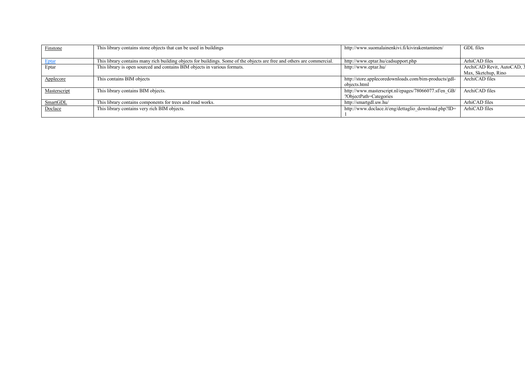| Finstone     | This library contains stone objects that can be used in buildings                                                       | http://www.suomalainenkivi.fi/kivirakentaminen/       | GDL files                  |
|--------------|-------------------------------------------------------------------------------------------------------------------------|-------------------------------------------------------|----------------------------|
|              |                                                                                                                         |                                                       |                            |
|              | This library contains many rich building objects for buildings. Some of the objects are free and others are commercial. | http://www.eptar.hu/cadsupport.php                    | ArhiCAD files              |
| Eptar        | This library is open sourced and contains BIM objects in various formats.                                               | http://www.eptar.hu/                                  | ArchiCAD Revit, AutoCAD, 3 |
|              |                                                                                                                         |                                                       | Max, Sketchup, Rino        |
| Applecore    | This contains BIM objects                                                                                               | http://store.applecoredownloads.com/bim-products/gdl- | ArchiCAD files             |
|              |                                                                                                                         | objects.html                                          |                            |
| Masterscript | This library contains BIM objects.                                                                                      | http://www.masterscript.nl/epages/78066077.sf/en_GB/  | ArchiCAD files             |
|              |                                                                                                                         | ?ObjectPath=Categories                                |                            |
| SmartGDL     | This library contains components for trees and road works.                                                              | http://smartgdl.uw.hu/                                | ArhiCAD files              |
| Doclace      | This library contains very rich BIM objects.                                                                            | http://www.doclace.it/eng/dettaglio download.php?ID=  | ArhiCAD files              |
|              |                                                                                                                         |                                                       |                            |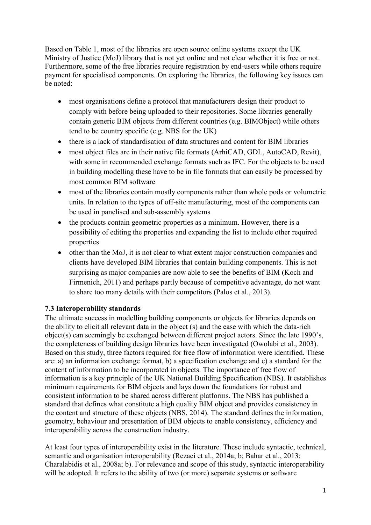Based on Table 1, most of the libraries are open source online systems except the UK Ministry of Justice (MoJ) library that is not yet online and not clear whether it is free or not. Furthermore, some of the free libraries require registration by end-users while others require payment for specialised components. On exploring the libraries, the following key issues can be noted:

- most organisations define a protocol that manufacturers design their product to comply with before being uploaded to their repositories. Some libraries generally contain generic BIM objects from different countries (e.g. BIMObject) while others tend to be country specific (e.g. NBS for the UK)
- there is a lack of standardisation of data structures and content for BIM libraries
- most object files are in their native file formats (ArhiCAD, GDL, AutoCAD, Revit), with some in recommended exchange formats such as IFC. For the objects to be used in building modelling these have to be in file formats that can easily be processed by most common BIM software
- most of the libraries contain mostly components rather than whole pods or volumetric units. In relation to the types of off-site manufacturing, most of the components can be used in panelised and sub-assembly systems
- the products contain geometric properties as a minimum. However, there is a possibility of editing the properties and expanding the list to include other required properties
- other than the MoJ, it is not clear to what extent major construction companies and clients have developed BIM libraries that contain building components. This is not surprising as major companies are now able to see the benefits of BIM (Koch and Firmenich, 2011) and perhaps partly because of competitive advantage, do not want to share too many details with their competitors (Palos et al., 2013).

## **7.3 Interoperability standards**

The ultimate success in modelling building components or objects for libraries depends on the ability to elicit all relevant data in the object (s) and the ease with which the data-rich object(s) can seemingly be exchanged between different project actors. Since the late 1990's, the completeness of building design libraries have been investigated (Owolabi et al., 2003). Based on this study, three factors required for free flow of information were identified. These are: a) an information exchange format, b) a specification exchange and c) a standard for the content of information to be incorporated in objects. The importance of free flow of information is a key principle of the UK National Building Specification (NBS). It establishes minimum requirements for BIM objects and lays down the foundations for robust and consistent information to be shared across different platforms. The NBS has published a standard that defines what constitute a high quality BIM object and provides consistency in the content and structure of these objects (NBS, 2014). The standard defines the information, geometry, behaviour and presentation of BIM objects to enable consistency, efficiency and interoperability across the construction industry.

At least four types of interoperability exist in the literature. These include syntactic, technical, semantic and organisation interoperability (Rezaei et al., 2014a; b; Bahar et al., 2013; Charalabidis et al., 2008a; b). For relevance and scope of this study, syntactic interoperability will be adopted. It refers to the ability of two (or more) separate systems or software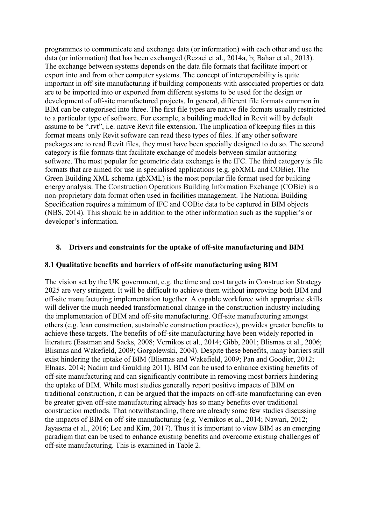programmes to communicate and exchange data (or information) with each other and use the data (or information) that has been exchanged (Rezaei et al., 2014a, b; Bahar et al., 2013). The exchange between systems depends on the data file formats that facilitate import or export into and from other computer systems. The concept of interoperability is quite important in off-site manufacturing if building components with associated properties or data are to be imported into or exported from different systems to be used for the design or development of off-site manufactured projects. In general, different file formats common in BIM can be categorised into three. The first file types are native file formats usually restricted to a particular type of software. For example, a building modelled in Revit will by default assume to be ".rvt", i.e. native Revit file extension. The implication of keeping files in this format means only Revit software can read these types of files. If any other software packages are to read Revit files, they must have been specially designed to do so. The second category is file formats that facilitate exchange of models between similar authoring software. The most popular for geometric data exchange is the IFC. The third category is file formats that are aimed for use in specialised applications (e.g. gbXML and COBie). The Green Building XML schema (gbXML) is the most popular file format used for building energy analysis. The Construction Operations Building Information Exchange (COBie) is a non-proprietary data format often used in facilities management. The National Building Specification requires a minimum of IFC and COBie data to be captured in BIM objects (NBS, 2014). This should be in addition to the other information such as the supplier's or developer's information.

### **8. Drivers and constraints for the uptake of off-site manufacturing and BIM**

#### **8.1 Qualitative benefits and barriers of off-site manufacturing using BIM**

The vision set by the UK government, e.g. the time and cost targets in Construction Strategy 2025 are very stringent. It will be difficult to achieve them without improving both BIM and off-site manufacturing implementation together. A capable workforce with appropriate skills will deliver the much needed transformational change in the construction industry including the implementation of BIM and off-site manufacturing. Off-site manufacturing amongst others (e.g. lean construction, sustainable construction practices), provides greater benefits to achieve these targets. The benefits of off-site manufacturing have been widely reported in literature (Eastman and Sacks, 2008; Vernikos et al., 2014; Gibb, 2001; Blismas et al., 2006; Blismas and Wakefield, 2009; Gorgolewski, 2004). Despite these benefits, many barriers still exist hindering the uptake of BIM (Blismas and Wakefield, 2009; Pan and Goodier, 2012; Elnaas, 2014; Nadim and Goulding 2011). BIM can be used to enhance existing benefits of off-site manufacturing and can significantly contribute in removing most barriers hindering the uptake of BIM. While most studies generally report positive impacts of BIM on traditional construction, it can be argued that the impacts on off-site manufacturing can even be greater given off-site manufacturing already has so many benefits over traditional construction methods. That notwithstanding, there are already some few studies discussing the impacts of BIM on off-site manufacturing (e.g. Vernikos et al., 2014; Nawari, 2012; Jayasena et al., 2016; Lee and Kim, 2017). Thus it is important to view BIM as an emerging paradigm that can be used to enhance existing benefits and overcome existing challenges of off-site manufacturing. This is examined in Table 2.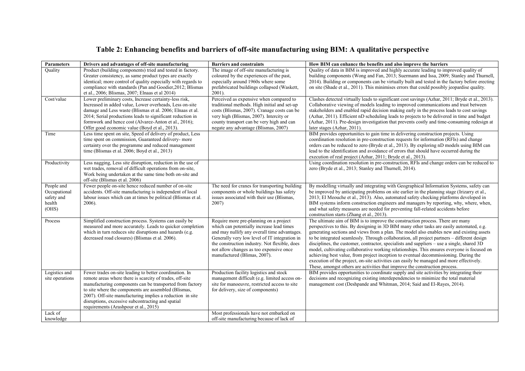# **Table 2: Enhancing benefits and barriers of off-site manufacturing using BIM: A qualitative perspective**

| <b>Parameters</b>                                           | Drivers and advantages of off-site manufacturing                                                                                                                                                                                                                                                                                                                                                   | <b>Barriers and constraints</b>                                                                                                                                                                                                                                                                                  | How BIM can enhance the benefits and also improve the barriers                                                                                                                                                                                                                                                                                                                                                                                                                                                                                                                                                                                                                                                                                                                                                                         |
|-------------------------------------------------------------|----------------------------------------------------------------------------------------------------------------------------------------------------------------------------------------------------------------------------------------------------------------------------------------------------------------------------------------------------------------------------------------------------|------------------------------------------------------------------------------------------------------------------------------------------------------------------------------------------------------------------------------------------------------------------------------------------------------------------|----------------------------------------------------------------------------------------------------------------------------------------------------------------------------------------------------------------------------------------------------------------------------------------------------------------------------------------------------------------------------------------------------------------------------------------------------------------------------------------------------------------------------------------------------------------------------------------------------------------------------------------------------------------------------------------------------------------------------------------------------------------------------------------------------------------------------------------|
| <b>Quality</b>                                              | Product (building components) tried and tested in factory.<br>Greater consistency, as same product types are exactly<br>identical; more control of quality especially with regards to<br>compliance with standards (Pan and Goodier, 2012; Blismas<br>et al., 2006; Blismas, 2007; Elnaas et al 2014)                                                                                              | The image of off-site manufacturing is<br>coloured by the experiences of the past,<br>especially around 1960s where some<br>prefabricated buildings collapsed (Waskett,<br>$2001$ ).                                                                                                                             | Quality of data in BIM is improved and highly accurate leading to improved quality of<br>building components (Wong and Fan, 2013; Suermann and Issa, 2009; Stanley and Thurnell,<br>2014). Building or components can be virtually built and tested in the factory before erecting<br>on site (Shade et al., 2011). This minimises errors that could possibly jeopardise quality.                                                                                                                                                                                                                                                                                                                                                                                                                                                      |
| Cost/value                                                  | Lower preliminary costs, Increase certainty-less risk,<br>Increased in added value, Lower overheads, Less on-site<br>damage and Less waste (Blismas et al. 2006; Elnaas et al.<br>2014; Serial productions leads to significant reduction in<br>formwork and hence cost (Alvarez-Anton et al., 2016);<br>Offer good economic value (Boyd et al., 2013).                                            | Perceived as expensive when compared to<br>traditional methods. High initial and set-up<br>costs (Blismas, 2007). Cranage costs can be<br>very high (Blismas, 2007). Intercity or<br>county transport can be very high and can<br>negate any advantage (Blismas, 2007)                                           | Clashes detected virtually leads to significant cost savings (Azhar, 2011; Bryde et al., 2013).<br>Collaborative viewing of models leading to improved communications and trust between<br>stakeholders and enabled rapid decision making early in the process leads to cost savings<br>(Azhar, 2011). Efficient nD scheduling leads to projects to be delivered in time and budget<br>(Azhar, 2011). Pre-design investigation that prevents costly and time-consuming redesign at<br>later stages (Azhar, 2011).                                                                                                                                                                                                                                                                                                                      |
| Time                                                        | Less time spent on site, Speed of delivery of product, Less<br>time spent on commission, Guaranteed delivery- more<br>certainty over the programme and reduced management<br>time (Blismas et al. 2006; Boyd et al., 2013)                                                                                                                                                                         |                                                                                                                                                                                                                                                                                                                  | BIM provides opportunities to gain time in delivering construction projects. Using<br>coordination resolution in pre-construction requests for information (RFIs) and change<br>orders can be reduced to zero (Bryde et al., 2013). By exploring nD models using BIM can<br>lead to the identification and avoidance of errors that should have occurred during the<br>execution of real project (Azhar, 2011; Bryde et al., 2013).                                                                                                                                                                                                                                                                                                                                                                                                    |
| Productivity                                                | Less nagging, Less site disruption, reduction in the use of<br>wet trades, removal of difficult operations from on-site,<br>Work being undertaken at the same time both on-site and<br>off-site (Blismas et al. 2006)                                                                                                                                                                              |                                                                                                                                                                                                                                                                                                                  | Using coordination resolution in pre-construction, RFIs and change orders can be reduced to<br>zero (Bryde et al., 2013; Stanley and Thurnell, 2014).                                                                                                                                                                                                                                                                                                                                                                                                                                                                                                                                                                                                                                                                                  |
| People and<br>Occupational<br>safety and<br>health<br>(OHS) | Fewer people on-site hence reduced number of on-site<br>accidents. Off-site manufacturing is independent of local<br>labour issues which can at times be political (Blismas et al.<br>2006).                                                                                                                                                                                                       | The need for cranes for transporting building<br>components or whole buildings has safety<br>issues associated with their use (Blismas,<br>2007)                                                                                                                                                                 | By modelling virtually and integrating with Geographical Information Systems, safety can<br>be improved by anticipating problems on site earlier in the planning stage (Irizarry et al.,<br>2013; El Meouche et al., 2013). Also, automated safety checking platforms developed in<br>BIM systems inform construction engineers and managers by reporting, why, where, when,<br>and what safety measures are needed for preventing fall-related accidents before<br>construction starts (Zhang et al., 2013).                                                                                                                                                                                                                                                                                                                          |
| Process                                                     | Simplified construction process. Systems can easily be<br>measured and more accurately. Leads to quicker completion<br>which in turn reduces site disruptions and hazards (e.g.<br>decreased road closures) (Blismas et al. 2006).                                                                                                                                                                 | Require more pre-planning on a project<br>which can potentially increase lead times<br>and may nullify any overall time advantages.<br>Generally very low level of IT integration in<br>the construction industry. Not flexible, does<br>not allow changes as too expensive once<br>manufactured (Blimas, 2007). | The ultimate aim of BIM is to improve the construction process. There are many<br>perspectives to this. By designing in 3D BIM many other tasks are easily automated, e.g.<br>generating sections and views from a plan. The model also enables new and existing assets<br>to be integrated seamlessly. Through collaboration, all project partners - different design<br>disciplines, the customer, contractor, specialists and suppliers - use a single, shared 3D<br>model, cultivating collaborative working relationships. This ensures everyone is focused on<br>achieving best value, from project inception to eventual decommissioning. During the<br>execution of the project, on-site activities can easily be managed and more effectively.<br>These, amongst others are activities that improve the construction process. |
| Logistics and<br>site operations                            | Fewer trades on-site leading to better coordination. In<br>remote areas where there is scarcity of trades, off-site<br>manufacturing components can be transported from factory<br>to site where the components are assembled (Blismas,<br>2007). Off-site manufacturing implies a reduction in site<br>disruptions, excessive subcontracting and spatial<br>requirements (Arashpour et al., 2015) | Production facility logistics and stock<br>management difficult (e.g. limited access on-<br>site for manoeuvre, restricted access to site<br>for delivery, size of components)                                                                                                                                   | BIM provides opportunities to coordinate supply and site activities by integrating their<br>decisions and recognizing existing interdependencies to minimize the total material<br>management cost (Deshpande and Whitman, 2014; Said and El-Rayes, 2014).                                                                                                                                                                                                                                                                                                                                                                                                                                                                                                                                                                             |
| Lack of<br>knowledge                                        |                                                                                                                                                                                                                                                                                                                                                                                                    | Most professionals have not embarked on<br>off-site manufacturing because of lack of                                                                                                                                                                                                                             |                                                                                                                                                                                                                                                                                                                                                                                                                                                                                                                                                                                                                                                                                                                                                                                                                                        |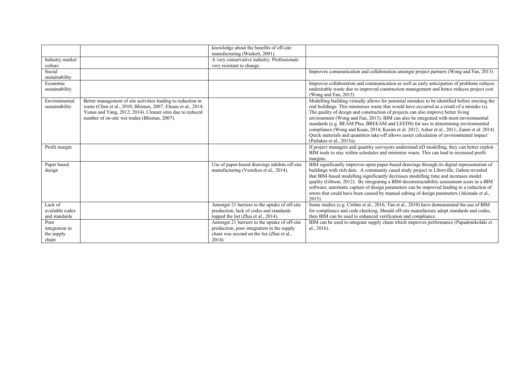|                                               |                                                                                                                                                                                                                                             | knowledge about the benefits of off-site<br>manufacturing (Waskett, 2001).                                                                         |                                                                                                                                                                                                                                                                                                                                                                                                                                                                                                                                                                                                                                                                                          |
|-----------------------------------------------|---------------------------------------------------------------------------------------------------------------------------------------------------------------------------------------------------------------------------------------------|----------------------------------------------------------------------------------------------------------------------------------------------------|------------------------------------------------------------------------------------------------------------------------------------------------------------------------------------------------------------------------------------------------------------------------------------------------------------------------------------------------------------------------------------------------------------------------------------------------------------------------------------------------------------------------------------------------------------------------------------------------------------------------------------------------------------------------------------------|
| Industry market<br>culture                    |                                                                                                                                                                                                                                             | A very conservative industry. Professionals<br>very resistant to change.                                                                           |                                                                                                                                                                                                                                                                                                                                                                                                                                                                                                                                                                                                                                                                                          |
| Social<br>sustainability                      |                                                                                                                                                                                                                                             |                                                                                                                                                    | Improves communication and collaboration amongst project partners (Wong and Fan, 2013)                                                                                                                                                                                                                                                                                                                                                                                                                                                                                                                                                                                                   |
| Economic<br>sustainability                    |                                                                                                                                                                                                                                             |                                                                                                                                                    | Improves collaboration and communication as well as early anticipation of problems reduces<br>undesirable waste due to improved construction management and hence reduces project cost<br>(Wong and Fan, 2013)                                                                                                                                                                                                                                                                                                                                                                                                                                                                           |
| Environmental<br>sustainability               | Better management of site activities leading to reduction in<br>waste (Chen et al., 2010; Blismas, 2007; Elnaas et al., 2014;<br>Yunus and Yang, 2012; 2014). Cleaner sites due to reduced<br>number of on-site wet trades (Blismas, 2007). |                                                                                                                                                    | Modelling building virtually allows for potential mistakes to be identified before erecting the<br>real buildings. This minimises waste that would have occurred as a result of a mistake (s).<br>The quality of design and construction of projects can also improve better living<br>environment (Wong and Fan, 2013). BIM can also be integrated with most environmental<br>standards (e.g. BEAM Plus, BREEAM and LEEDS) for use in determining environmental<br>compliance (Wong and Kuan, 2014; Kasim et al. 2012; Azhar et al., 2011; Zanni et al. 2014)<br>Quick materials and quantities take-off allows easier calculation of environmental impact<br>(Patlakas et al., 2015a). |
| Profit margin                                 |                                                                                                                                                                                                                                             |                                                                                                                                                    | If project managers and quantity surveyors understand nD modelling, they can better exploit<br>BIM tools to stay within schedules and minimise waste. This can lead to increased profit<br>margins.                                                                                                                                                                                                                                                                                                                                                                                                                                                                                      |
| Paper based<br>design                         |                                                                                                                                                                                                                                             | Use of paper-based drawings inhibits off-site<br>manufacturing (Vernikos et al., 2014).                                                            | BIM significantly improves upon paper-based drawings through its digital representation of<br>buildings with rich data. A community cased study project in Libreville, Gabon revealed<br>that BIM-based modelling significantly decreases modelling time and increases model<br>quality (Gibson, 2012). By integrating a BIM-deconstructability assessment score in a BIM<br>software, automatic capture of design parameters can be improved leading to a reduction of<br>errors that could have been caused by manual editing of design parameters (Akinade et al.,<br>$2015$ ).                                                                                                       |
| Lack of<br>available codes<br>and standards   |                                                                                                                                                                                                                                             | Amongst 21 barriers to the uptake of off-site<br>production, lack of codes and standards<br>topped the list (Zhai et al., 2014).                   | Some studies (e.g. Ciribin et al., 2016; Tan et al., 2010) have demonstrated the use of BIM<br>for compliance and code checking. Should off-site manufacture adopt standards and codes,<br>then BIM can be used to enhanced verification and compliance.                                                                                                                                                                                                                                                                                                                                                                                                                                 |
| Poor<br>integration in<br>the supply<br>chain |                                                                                                                                                                                                                                             | Amongst 21 barriers to the uptake of off-site<br>production, poor integration in the supply<br>chain was second on the list (Zhai et al.,<br>2014) | BIM can be used to integrate supply chain which improves performance (Papadonikolaki et<br>al., $2016$ ).                                                                                                                                                                                                                                                                                                                                                                                                                                                                                                                                                                                |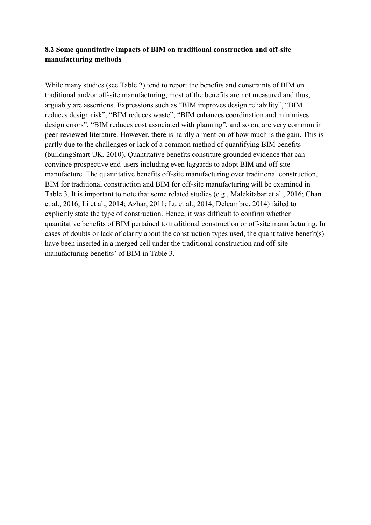## **8.2 Some quantitative impacts of BIM on traditional construction and off-site manufacturing methods**

While many studies (see Table 2) tend to report the benefits and constraints of BIM on traditional and/or off-site manufacturing, most of the benefits are not measured and thus, arguably are assertions. Expressions such as "BIM improves design reliability", "BIM reduces design risk", "BIM reduces waste", "BIM enhances coordination and minimises design errors", "BIM reduces cost associated with planning", and so on, are very common in peer-reviewed literature. However, there is hardly a mention of how much is the gain. This is partly due to the challenges or lack of a common method of quantifying BIM benefits (buildingSmart UK, 2010). Quantitative benefits constitute grounded evidence that can convince prospective end-users including even laggards to adopt BIM and off-site manufacture. The quantitative benefits off-site manufacturing over traditional construction, BIM for traditional construction and BIM for off-site manufacturing will be examined in Table 3. It is important to note that some related studies (e.g., Malekitabar et al., 2016; Chan et al., 2016; Li et al., 2014; Azhar, 2011; Lu et al., 2014; Delcambre, 2014) failed to explicitly state the type of construction. Hence, it was difficult to confirm whether quantitative benefits of BIM pertained to traditional construction or off-site manufacturing. In cases of doubts or lack of clarity about the construction types used, the quantitative benefit(s) have been inserted in a merged cell under the traditional construction and off-site manufacturing benefits' of BIM in Table 3.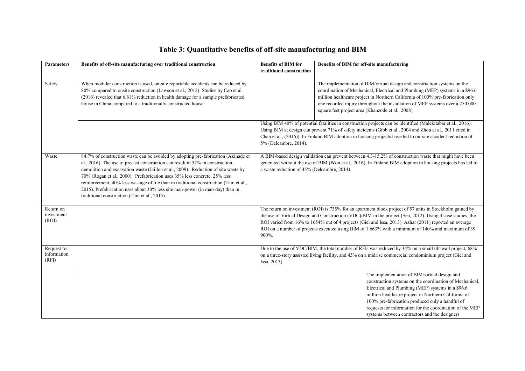| <b>Parameters</b>                   | Benefits of off-site manufacturing over traditional construction                                                                                                                                                                                                                                                                                                                                                                                                                                                                                                  | <b>Benefits of BIM for</b>                                                                                                                                                                                                                                                                                                                                                                                                                     | Benefits of BIM for off-site manufacturing                                                                                                                                                                                                                                                                                                                                           |
|-------------------------------------|-------------------------------------------------------------------------------------------------------------------------------------------------------------------------------------------------------------------------------------------------------------------------------------------------------------------------------------------------------------------------------------------------------------------------------------------------------------------------------------------------------------------------------------------------------------------|------------------------------------------------------------------------------------------------------------------------------------------------------------------------------------------------------------------------------------------------------------------------------------------------------------------------------------------------------------------------------------------------------------------------------------------------|--------------------------------------------------------------------------------------------------------------------------------------------------------------------------------------------------------------------------------------------------------------------------------------------------------------------------------------------------------------------------------------|
|                                     |                                                                                                                                                                                                                                                                                                                                                                                                                                                                                                                                                                   | traditional construction                                                                                                                                                                                                                                                                                                                                                                                                                       |                                                                                                                                                                                                                                                                                                                                                                                      |
| Safety                              | When modular construction is used, on-site reportable accidents can be reduced by<br>80% compared to onsite construction (Lawson et al., 2012). Studies by Cao et al.<br>(2016) revealed that 6.61% reduction in health damage for a sample prefabricated<br>house in China compared to a traditionally constructed house.                                                                                                                                                                                                                                        |                                                                                                                                                                                                                                                                                                                                                                                                                                                | The implementation of BIM/virtual design and construction systems on the<br>coordination of Mechanical, Electrical and Plumbing (MEP) systems in a \$96.6<br>million healthcare project in Northern California of 100% pre-fabrication only<br>one recorded injury throughout the installation of MEP systems over a 250 000<br>square feet project area (Khanzode et al., 2008).    |
|                                     |                                                                                                                                                                                                                                                                                                                                                                                                                                                                                                                                                                   | Using BIM 40% of potential fatalities in construction projects can be identified (Malekitabar et al., 2016).<br>Using BIM at design can prevent 71% of safety incidents (Gibb et al., 2004 and Zhou et al., 2011 cited in<br>Chan et al., (2016)). In Finland BIM adoption in housing projects have led to on-site accident reduction of<br>5% (Delcambre, 2014).                                                                              |                                                                                                                                                                                                                                                                                                                                                                                      |
| Waste                               | 84.7% of construction waste can be avoided by adopting pre-fabrication (Akinade et<br>al., 2016). The use of precast construction can result in 52% in construction,<br>demolition and excavation waste (Jaillon et al., 2009). Reduction of site waste by<br>70% (Rogan et al., 2000). Prefabrication uses 35% less concrete, 25% less<br>reinforcement, 40% less wastage of tile than in traditional construction (Tam et al.,<br>2015). Prefabrication uses about 30% less site man-power (in man-day) than in<br>traditional construction (Tam et al., 2015). | A BIM-based design validation can prevent between 4.3-15.2% of construction waste that might have been<br>generated without the use of BIM (Won et al., 2016). In Finland BIM adoption in housing projects has led to<br>a waste reduction of 45% (Delcambre, 2014).                                                                                                                                                                           |                                                                                                                                                                                                                                                                                                                                                                                      |
| Return on<br>investment<br>(ROI)    |                                                                                                                                                                                                                                                                                                                                                                                                                                                                                                                                                                   | The return on investment (ROI) is 735% for an apartment block project of 57 units in Stockholm gained by<br>the use of Virtual Design and Construction (VDC)/BIM in the project (Sen, 2012). Using 3 case studies, the<br>ROI varied from 16% to 1654% out of 4 projects (Giel and Issa, 2013). Azhar (2011) reported an average<br>ROI on a number of projects executed using BIM of 1 663% with a minimum of 140% and maximum of 39<br>900%. |                                                                                                                                                                                                                                                                                                                                                                                      |
| Request for<br>information<br>(RFI) |                                                                                                                                                                                                                                                                                                                                                                                                                                                                                                                                                                   | Due to the use of VDC/BIM, the total number of RFIs was reduced by 34% on a small tilt-wall project, 68%<br>on a three-story assisted living facility, and 43% on a midrise commercial condominium project (Giel and<br>Issa, 2013)                                                                                                                                                                                                            |                                                                                                                                                                                                                                                                                                                                                                                      |
|                                     |                                                                                                                                                                                                                                                                                                                                                                                                                                                                                                                                                                   |                                                                                                                                                                                                                                                                                                                                                                                                                                                | The implementation of BIM/virtual design and<br>construction systems on the coordination of Mechanical,<br>Electrical and Plumbing (MEP) systems in a \$96.6<br>million healthcare project in Northern California of<br>100% pre-fabrication produced only a handful of<br>requests for information for the coordination of the MEP<br>systems between contractors and the designers |

# **Table 3: Quantitative benefits of off-site manufacturing and BIM**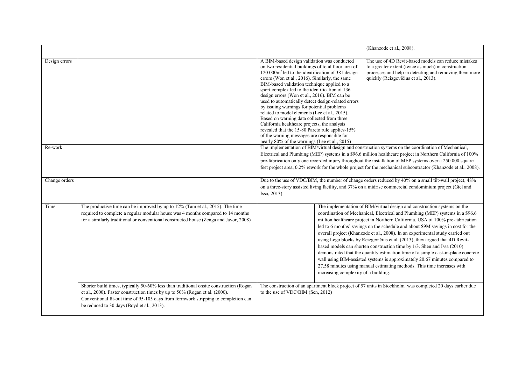|                                                                                                                                                                                                                                                                                                                                                |                                                                                                                                                                                                                                                           |                                                                                                                                                                                                                                                                                                                                                                                                                                                                                                                                                                                                                                                                                                                                                                                                                                                                 | (Khanzode et al., 2008).                                                                                                                                                                                                                                                                                                                                                                                                                           |
|------------------------------------------------------------------------------------------------------------------------------------------------------------------------------------------------------------------------------------------------------------------------------------------------------------------------------------------------|-----------------------------------------------------------------------------------------------------------------------------------------------------------------------------------------------------------------------------------------------------------|-----------------------------------------------------------------------------------------------------------------------------------------------------------------------------------------------------------------------------------------------------------------------------------------------------------------------------------------------------------------------------------------------------------------------------------------------------------------------------------------------------------------------------------------------------------------------------------------------------------------------------------------------------------------------------------------------------------------------------------------------------------------------------------------------------------------------------------------------------------------|----------------------------------------------------------------------------------------------------------------------------------------------------------------------------------------------------------------------------------------------------------------------------------------------------------------------------------------------------------------------------------------------------------------------------------------------------|
|                                                                                                                                                                                                                                                                                                                                                |                                                                                                                                                                                                                                                           |                                                                                                                                                                                                                                                                                                                                                                                                                                                                                                                                                                                                                                                                                                                                                                                                                                                                 |                                                                                                                                                                                                                                                                                                                                                                                                                                                    |
| Design errors                                                                                                                                                                                                                                                                                                                                  |                                                                                                                                                                                                                                                           | A BIM-based design validation was conducted<br>on two residential buildings of total floor area of<br>120 000m <sup>2</sup> led to the identification of 381 design<br>errors (Won et al., 2016). Similarly, the same<br>BIM-based validation technique applied to a<br>sport complex led to the identification of 136<br>design errors (Won et al., 2016). BIM can be<br>used to automatically detect design-related errors<br>by issuing warnings for potential problems<br>related to model elements (Lee et al., 2015).<br>Based on warning data collected from three<br>California healthcare projects, the analysis<br>revealed that the 15-80 Pareto rule applies-15%<br>of the warning messages are responsible for<br>nearly 80% of the warnings (Lee et al., 2015)                                                                                    | The use of 4D Revit-based models can reduce mistakes<br>to a greater extent (twice as much) in construction<br>processes and help in detecting and removing them more<br>quickly (Reizgevičius et al., 2013).                                                                                                                                                                                                                                      |
| Re-work                                                                                                                                                                                                                                                                                                                                        |                                                                                                                                                                                                                                                           |                                                                                                                                                                                                                                                                                                                                                                                                                                                                                                                                                                                                                                                                                                                                                                                                                                                                 | The implementation of BIM/virtual design and construction systems on the coordination of Mechanical,<br>Electrical and Plumbing (MEP) systems in a \$96.6 million healthcare project in Northern California of 100%<br>pre-fabrication only one recorded injury throughout the installation of MEP systems over a 250 000 square<br>feet project area, 0.2% rework for the whole project for the mechanical subcontractor (Khanzode et al., 2008). |
| Change orders                                                                                                                                                                                                                                                                                                                                  |                                                                                                                                                                                                                                                           | Due to the use of VDC/BIM, the number of change orders reduced by 40% on a small tilt-wall project, 48%<br>on a three-story assisted living facility, and 37% on a midrise commercial condominium project (Giel and<br>Issa, 2013).                                                                                                                                                                                                                                                                                                                                                                                                                                                                                                                                                                                                                             |                                                                                                                                                                                                                                                                                                                                                                                                                                                    |
| Time                                                                                                                                                                                                                                                                                                                                           | The productive time can be improved by up to 12% (Tam et al., 2015). The time<br>required to complete a regular modular house was 4 months compared to 14 months<br>for a similarly traditional or conventional constructed house (Zenga and Javor, 2008) | The implementation of BIM/virtual design and construction systems on the<br>coordination of Mechanical, Electrical and Plumbing (MEP) systems in a \$96.6<br>million healthcare project in Northern California, USA of 100% pre-fabrication<br>led to 6 months' savings on the schedule and about \$9M savings in cost for the<br>overall project (Khanzode et al., 2008). In an experimental study carried out<br>using Lego blocks by Reizgevičius et al. (2013), they argued that 4D Revit-<br>based models can shorten construction time by 1/3. Shen and Issa (2010)<br>demonstrated that the quantity estimation time of a simple cast-in-place concrete<br>wall using BIM-assisted systems is approximately 20.67 minutes compared to<br>27.58 minutes using manual estimating methods. This time increases with<br>increasing complexity of a building. |                                                                                                                                                                                                                                                                                                                                                                                                                                                    |
| Shorter build times, typically 50-60% less than traditional onsite construction (Rogan<br>et al., 2000). Faster construction times by up to 50% (Rogan et al. (2000).<br>to the use of VDC/BIM (Sen, 2012)<br>Conventional fit-out time of 95-105 days from formwork stripping to completion can<br>be reduced to 30 days (Boyd et al., 2013). |                                                                                                                                                                                                                                                           | The construction of an apartment block project of 57 units in Stockholm was completed 20 days earlier due                                                                                                                                                                                                                                                                                                                                                                                                                                                                                                                                                                                                                                                                                                                                                       |                                                                                                                                                                                                                                                                                                                                                                                                                                                    |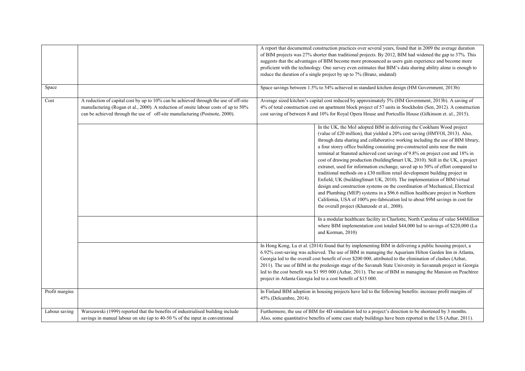|                |                                                                                                                                                                                                                                                            | A report that documented construction practices over several years, found that in 2009 the average duration<br>of BIM projects was 27% shorter than traditional projects. By 2012, BIM had widened the gap to 37%. This<br>suggests that the advantages of BIM become more pronounced as users gain experience and become more<br>proficient with the technology. One survey even estimates that BIM's data sharing ability alone is enough to<br>reduce the duration of a single project by up to 7% (Branz, undated)                                                                                                                                                                                                                                                                                                                                                                                                                                                                                                                      |  |  |
|----------------|------------------------------------------------------------------------------------------------------------------------------------------------------------------------------------------------------------------------------------------------------------|---------------------------------------------------------------------------------------------------------------------------------------------------------------------------------------------------------------------------------------------------------------------------------------------------------------------------------------------------------------------------------------------------------------------------------------------------------------------------------------------------------------------------------------------------------------------------------------------------------------------------------------------------------------------------------------------------------------------------------------------------------------------------------------------------------------------------------------------------------------------------------------------------------------------------------------------------------------------------------------------------------------------------------------------|--|--|
| Space          |                                                                                                                                                                                                                                                            | Space savings between 1.5% to 54% achieved in standard kitchen design (HM Government, 2013b)                                                                                                                                                                                                                                                                                                                                                                                                                                                                                                                                                                                                                                                                                                                                                                                                                                                                                                                                                |  |  |
| Cost           | A reduction of capital cost by up to 10% can be achieved through the use of off-site<br>manufacturing (Rogan et al., 2000). A reduction of onsite labour costs of up to 50%<br>can be achieved through the use of off-site manufacturing (Postnote, 2000). | Average sized kitchen's capital cost reduced by approximately 5% (HM Government, 2013b). A saving of<br>4% of total construction cost on apartment block project of 57 units in Stockholm (Sen, 2012). A construction<br>cost saving of between 8 and 10% for Royal Opera House and Portcullis House (Gilkinson et. al., 2015).                                                                                                                                                                                                                                                                                                                                                                                                                                                                                                                                                                                                                                                                                                             |  |  |
|                |                                                                                                                                                                                                                                                            | In the UK, the MoJ adopted BIM in delivering the Cookham Wood project<br>(value of £20 million), that yielded a 20% cost saving (HMYOI, 2013). Also,<br>through data sharing and collaborative working including the use of BIM library,<br>a four storey office building consisting pre-constructed units near the main<br>terminal at Stansted achieved cost savings of 9.8% on project cost and 18% in<br>cost of drawing production (buildingSmart UK, 2010). Still in the UK, a project<br>extranet, used for information exchange, saved up to 50% of effort compared to<br>traditional methods on a £30 million retail development building project in<br>Enfield, UK (buildingSmart UK, 2010). The implementation of BIM/virtual<br>design and construction systems on the coordination of Mechanical, Electrical<br>and Plumbing (MEP) systems in a \$96.6 million healthcare project in Northern<br>California, USA of 100% pre-fabrication led to about \$9M savings in cost for<br>the overall project (Khanzode et al., 2008). |  |  |
|                |                                                                                                                                                                                                                                                            | In a modular healthcare facility in Charlotte, North Carolina of value \$44Million<br>where BIM implementation cost totaled \$44,000 led to savings of \$220,000 (Lu<br>and Korman, 2010)                                                                                                                                                                                                                                                                                                                                                                                                                                                                                                                                                                                                                                                                                                                                                                                                                                                   |  |  |
|                |                                                                                                                                                                                                                                                            | In Hong Kong, Lu et al. (2014) found that by implementing BIM in delivering a public housing project, a<br>6.92% cost-saving was achieved. The use of BIM in managing the Aquarium Hilton Garden Inn in Atlanta,<br>Georgia led to the overall cost benefit of over \$200 000, attributed to the elimination of clashes (Azhar,<br>2011). The use of BIM in the predesign stage of the Savanah State University in Savannah project in Georgia<br>led to the cost benefit was \$1 995 000 (Azhar, 2011). The use of BIM in managing the Mansion on Peachtree<br>project in Atlanta Georgia led to a cost benefit of \$15 000.                                                                                                                                                                                                                                                                                                                                                                                                               |  |  |
| Profit margins |                                                                                                                                                                                                                                                            | In Finland BIM adoption in housing projects have led to the following benefits: increase profit margins of<br>45% (Delcambre, 2014).                                                                                                                                                                                                                                                                                                                                                                                                                                                                                                                                                                                                                                                                                                                                                                                                                                                                                                        |  |  |
| Labour saving  | Warszawski (1999) reported that the benefits of industrialised building include<br>savings in manual labour on site (up to 40-50 % of the input in conventional                                                                                            | Furthermore, the use of BIM for 4D simulation led to a project's direction to be shortened by 3 months.<br>Also, some quantitative benefits of some case study buildings have been reported in the US (Azhar, 2011).                                                                                                                                                                                                                                                                                                                                                                                                                                                                                                                                                                                                                                                                                                                                                                                                                        |  |  |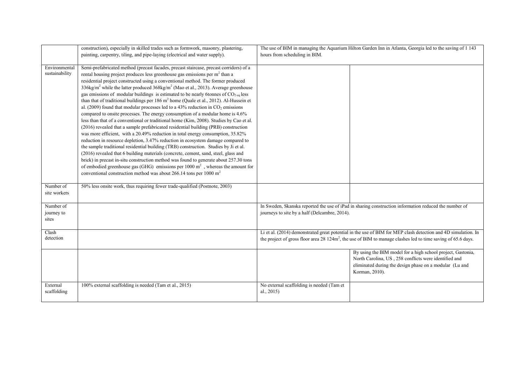|                | construction), especially in skilled trades such as formwork, masonry, plastering,                         | The use of BIM in managing the Aquarium Hilton Garden Inn in Atlanta, Georgia led to the saving of 1 143         |                                                                                                       |
|----------------|------------------------------------------------------------------------------------------------------------|------------------------------------------------------------------------------------------------------------------|-------------------------------------------------------------------------------------------------------|
|                | painting, carpentry, tiling, and pipe-laying (electrical and water supply).                                | hours from scheduling in BIM.                                                                                    |                                                                                                       |
|                |                                                                                                            |                                                                                                                  |                                                                                                       |
| Environmental  | Semi-prefabricated method (precast facades, precast staircase, precast corridors) of a                     |                                                                                                                  |                                                                                                       |
| sustainability | rental housing project produces less greenhouse gas emissions per $m2$ than a                              |                                                                                                                  |                                                                                                       |
|                | residential project constructed using a conventional method. The former produced                           |                                                                                                                  |                                                                                                       |
|                | 336kg/m <sup>2</sup> while the latter produced 368kg/m <sup>2</sup> (Mao et al., 2013). Average greenhouse |                                                                                                                  |                                                                                                       |
|                | gas emissions of modular buildings is estimated to be nearly 6tonnes of $CO_{2\text{-eq}}$ less            |                                                                                                                  |                                                                                                       |
|                | than that of traditional buildings per $186 \text{ m}^2$ home (Quale et al., 2012). Al-Hussein et          |                                                                                                                  |                                                                                                       |
|                | al. (2009) found that modular processes led to a 43% reduction in $CO2$ emissions                          |                                                                                                                  |                                                                                                       |
|                | compared to onsite processes. The energy consumption of a modular home is 4.6%                             |                                                                                                                  |                                                                                                       |
|                | less than that of a conventional or traditional home (Kim, 2008). Studies by Cao et al.                    |                                                                                                                  |                                                                                                       |
|                | (2016) revealed that a sample prefabricated residential building (PRB) construction                        |                                                                                                                  |                                                                                                       |
|                | was more efficient, with a 20.49% reduction in total energy consumption, 35.82%                            |                                                                                                                  |                                                                                                       |
|                | reduction in resource depletion, 3.47% reduction in ecosystem damage compared to                           |                                                                                                                  |                                                                                                       |
|                | the sample traditional residential building (TRB) construction. Studies by Ji et al.                       |                                                                                                                  |                                                                                                       |
|                | (2016) revealed that 6 building materials (concrete, cement, sand, steel, glass and                        |                                                                                                                  |                                                                                                       |
|                | brick) in precast in-situ construction method was found to generate about 257.30 tons                      |                                                                                                                  |                                                                                                       |
|                | of embodied greenhouse gas (GHG) emissions per $1000 \text{ m}^2$ , whereas the amount for                 |                                                                                                                  |                                                                                                       |
|                | conventional construction method was about 266.14 tons per 1000 m <sup>2</sup>                             |                                                                                                                  |                                                                                                       |
| Number of      | 50% less onsite work, thus requiring fewer trade-qualified (Postnote, 2003)                                |                                                                                                                  |                                                                                                       |
| site workers   |                                                                                                            |                                                                                                                  |                                                                                                       |
|                |                                                                                                            |                                                                                                                  |                                                                                                       |
| Number of      |                                                                                                            |                                                                                                                  | In Sweden, Skanska reported the use of iPad in sharing construction information reduced the number of |
| journey to     |                                                                                                            | journeys to site by a half (Delcambre, 2014).                                                                    |                                                                                                       |
| sites          |                                                                                                            |                                                                                                                  |                                                                                                       |
|                |                                                                                                            |                                                                                                                  |                                                                                                       |
| Clash          |                                                                                                            | Li et al. (2014) demonstrated great potential in the use of BIM for MEP clash detection and 4D simulation. In    |                                                                                                       |
| detection      |                                                                                                            | the project of gross floor area $28\ 124m^2$ , the use of BIM to manage clashes led to time saving of 65.6 days. |                                                                                                       |
|                |                                                                                                            |                                                                                                                  | By using the BIM model for a high school project, Gastonia,                                           |
|                |                                                                                                            |                                                                                                                  | North Carolina, US, 258 conflicts were identified and                                                 |
|                |                                                                                                            |                                                                                                                  | eliminated during the design phase on a modular (Lu and                                               |
|                |                                                                                                            |                                                                                                                  | Korman, 2010).                                                                                        |
| External       | 100% external scaffolding is needed (Tam et al., 2015)                                                     |                                                                                                                  |                                                                                                       |
| scaffolding    |                                                                                                            | No external scaffolding is needed (Tam et<br>al., $2015$ )                                                       |                                                                                                       |
|                |                                                                                                            |                                                                                                                  |                                                                                                       |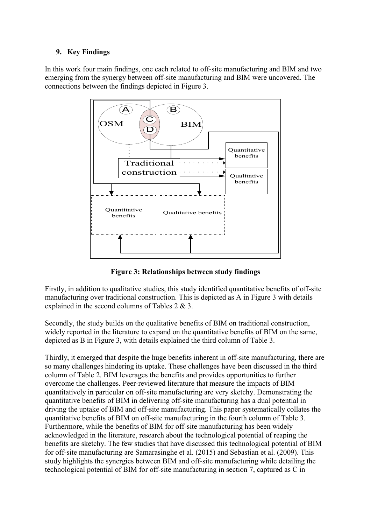### **9. Key Findings**

In this work four main findings, one each related to off-site manufacturing and BIM and two emerging from the synergy between off-site manufacturing and BIM were uncovered. The connections between the findings depicted in Figure 3.



**Figure 3: Relationships between study findings** 

Firstly, in addition to qualitative studies, this study identified quantitative benefits of off-site manufacturing over traditional construction. This is depicted as A in Figure 3 with details explained in the second columns of Tables 2 & 3.

Secondly, the study builds on the qualitative benefits of BIM on traditional construction, widely reported in the literature to expand on the quantitative benefits of BIM on the same, depicted as B in Figure 3, with details explained the third column of Table 3.

Thirdly, it emerged that despite the huge benefits inherent in off-site manufacturing, there are so many challenges hindering its uptake. These challenges have been discussed in the third column of Table 2. BIM leverages the benefits and provides opportunities to further overcome the challenges. Peer-reviewed literature that measure the impacts of BIM quantitatively in particular on off-site manufacturing are very sketchy. Demonstrating the quantitative benefits of BIM in delivering off-site manufacturing has a dual potential in driving the uptake of BIM and off-site manufacturing. This paper systematically collates the quantitative benefits of BIM on off-site manufacturing in the fourth column of Table 3. Furthermore, while the benefits of BIM for off-site manufacturing has been widely acknowledged in the literature, research about the technological potential of reaping the benefits are sketchy. The few studies that have discussed this technological potential of BIM for off-site manufacturing are Samarasinghe et al. (2015) and Sebastian et al. (2009). This study highlights the synergies between BIM and off-site manufacturing while detailing the technological potential of BIM for off-site manufacturing in section 7, captured as C in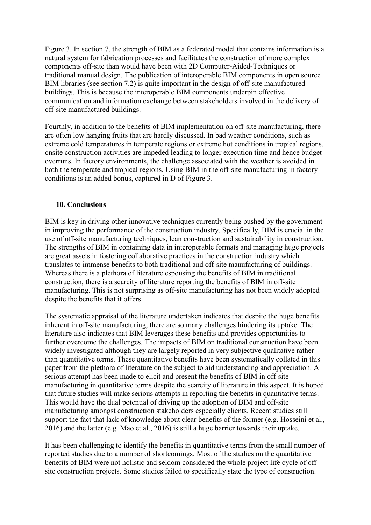Figure 3. In section 7, the strength of BIM as a federated model that contains information is a natural system for fabrication processes and facilitates the construction of more complex components off-site than would have been with 2D Computer-Aided-Techniques or traditional manual design. The publication of interoperable BIM components in open source BIM libraries (see section 7.2) is quite important in the design of off-site manufactured buildings. This is because the interoperable BIM components underpin effective communication and information exchange between stakeholders involved in the delivery of off-site manufactured buildings.

Fourthly, in addition to the benefits of BIM implementation on off-site manufacturing, there are often low hanging fruits that are hardly discussed. In bad weather conditions, such as extreme cold temperatures in temperate regions or extreme hot conditions in tropical regions, onsite construction activities are impeded leading to longer execution time and hence budget overruns. In factory environments, the challenge associated with the weather is avoided in both the temperate and tropical regions. Using BIM in the off-site manufacturing in factory conditions is an added bonus, captured in D of Figure 3.

### **10. Conclusions**

BIM is key in driving other innovative techniques currently being pushed by the government in improving the performance of the construction industry. Specifically, BIM is crucial in the use of off-site manufacturing techniques, lean construction and sustainability in construction. The strengths of BIM in containing data in interoperable formats and managing huge projects are great assets in fostering collaborative practices in the construction industry which translates to immense benefits to both traditional and off-site manufacturing of buildings. Whereas there is a plethora of literature espousing the benefits of BIM in traditional construction, there is a scarcity of literature reporting the benefits of BIM in off-site manufacturing. This is not surprising as off-site manufacturing has not been widely adopted despite the benefits that it offers.

The systematic appraisal of the literature undertaken indicates that despite the huge benefits inherent in off-site manufacturing, there are so many challenges hindering its uptake. The literature also indicates that BIM leverages these benefits and provides opportunities to further overcome the challenges. The impacts of BIM on traditional construction have been widely investigated although they are largely reported in very subjective qualitative rather than quantitative terms. These quantitative benefits have been systematically collated in this paper from the plethora of literature on the subject to aid understanding and appreciation. A serious attempt has been made to elicit and present the benefits of BIM in off-site manufacturing in quantitative terms despite the scarcity of literature in this aspect. It is hoped that future studies will make serious attempts in reporting the benefits in quantitative terms. This would have the dual potential of driving up the adoption of BIM and off-site manufacturing amongst construction stakeholders especially clients. Recent studies still support the fact that lack of knowledge about clear benefits of the former (e.g. Hosseini et al., 2016) and the latter (e.g. Mao et al., 2016) is still a huge barrier towards their uptake.

It has been challenging to identify the benefits in quantitative terms from the small number of reported studies due to a number of shortcomings. Most of the studies on the quantitative benefits of BIM were not holistic and seldom considered the whole project life cycle of offsite construction projects. Some studies failed to specifically state the type of construction.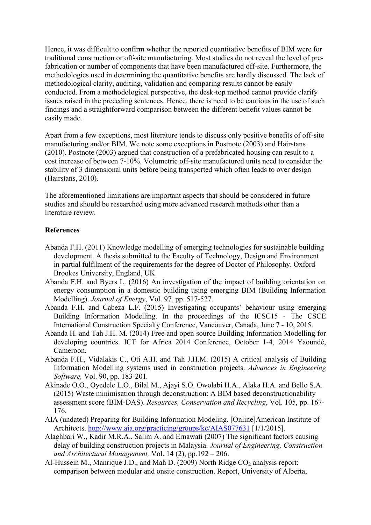Hence, it was difficult to confirm whether the reported quantitative benefits of BIM were for traditional construction or off-site manufacturing. Most studies do not reveal the level of prefabrication or number of components that have been manufactured off-site. Furthermore, the methodologies used in determining the quantitative benefits are hardly discussed. The lack of methodological clarity, auditing, validation and comparing results cannot be easily conducted. From a methodological perspective, the desk-top method cannot provide clarify issues raised in the preceding sentences. Hence, there is need to be cautious in the use of such findings and a straightforward comparison between the different benefit values cannot be easily made.

Apart from a few exceptions, most literature tends to discuss only positive benefits of off-site manufacturing and/or BIM. We note some exceptions in Postnote (2003) and Hairstans (2010). Postnote (2003) argued that construction of a prefabricated housing can result to a cost increase of between 7-10%. Volumetric off-site manufactured units need to consider the stability of 3 dimensional units before being transported which often leads to over design [\(Hairstans,](https://www.amazon.co.uk/Robert-Hairstans/e/B0057PQ36I/ref=dp_byline_cont_book_1) 2010).

The aforementioned limitations are important aspects that should be considered in future studies and should be researched using more advanced research methods other than a literature review.

### **References**

- Abanda F.H. (2011) Knowledge modelling of emerging technologies for sustainable building development. A thesis submitted to the Faculty of Technology, Design and Environment in partial fulfilment of the requirements for the degree of Doctor of Philosophy. Oxford Brookes University, England, UK.
- Abanda F.H. and Byers L. (2016) An investigation of the impact of building orientation on energy consumption in a domestic building using emerging BIM (Building Information Modelling). *Journal of Energy*, Vol. 97, pp. 517-527.
- Abanda F.H. and Cabeza L.F. (2015) Investigating occupants' behaviour using emerging Building Information Modelling. In the proceedings of the [ICSC15 - The CSCE](http://icsc15.engineering.ubc.ca/)  [International Construction Specialty Conference, Vancouver, Canada, June 7 - 10, 2015.](http://icsc15.engineering.ubc.ca/)
- Abanda H. and Tah J.H. M. (2014) Free and open source Building Information Modelling for developing countries. ICT for Africa 2014 Conference, October 1-4, 2014 Yaoundé, Cameroon.
- Abanda F.H., Vidalakis C., Oti A.H. and Tah J.H.M. (2015) A critical analysis of Building Information Modelling systems used in construction projects. *Advances in Engineering Software,* Vol. 90, pp. 183-201*.*
- Akinade O.O., Oyedele L.O., Bilal M., Ajayi S.O. Owolabi H.A., Alaka H.A. and Bello S.A. (2015) Waste minimisation through deconstruction: A BIM based deconstructionability assessment score (BIM-DAS). *Resources, Conservation and Recycling*, Vol. 105, pp. 167- 176.
- AIA (undated) Preparing for Building Information Modeling. [Online]American Institute of Architects.<http://www.aia.org/practicing/groups/kc/AIAS077631> [1/1/2015].
- Alaghbari W., Kadir M.R.A., Salim A. and Ernawati (2007) The significant factors causing delay of building construction projects in Malaysia. *Journal of Engineering, Construction and Architectural Management,* Vol. 14 (2), pp.192 – 206.
- Al-Hussein M., Manrique J.D., and Mah D. (2009) North Ridge  $CO<sub>2</sub>$  analysis report: comparison between modular and onsite construction. Report, University of Alberta,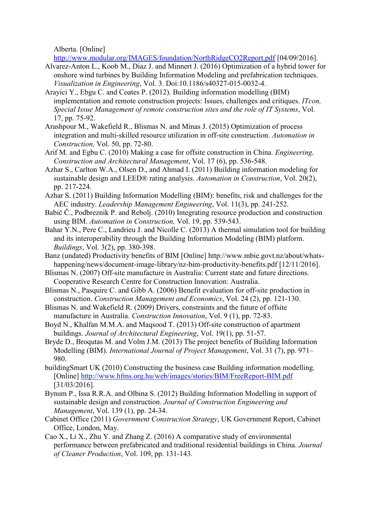Alberta. [Online]

<http://www.modular.org/IMAGES/foundation/NorthRidgeCO2Report.pdf>[04/09/2016].

- Alvarez-Anton L., Koob M., Diaz J. and Minnert J. (2016) Optimization of a hybrid tower for onshore wind turbines by Building Information Modeling and prefabrication techniques. *Visualization in Engineering*, Vol. 3. Doi:10.1186/s40327-015-0032-4.
- Arayici Y., Ebgu C. and Coates P. (2012). [Building information modelling \(BIM\)](http://www.itcon.org/cgi-bin/works/Show?2012_5)  [implementation and remote construction projects: Issues, challenges and critiques.](http://www.itcon.org/cgi-bin/works/Show?2012_5) *ITcon, Special Issue [Management of remote construction sites and the role of IT Systems](http://www.itcon.org/cgi-bin/special/Show?2011managementremotesites)*, Vol. 17, pp. 75-92.
- Arashpour M., Wakefield R., Blismas N. and Minas J. (2015) Optimization of process integration and multi-skilled resource utilization in off-site construction. *Automation in Construction,* Vol. 50, pp. 72-80.
- Arif M. and Egbu C. (2010) Making a case for offsite construction in China*. Engineering, Construction and Architectural Management*, Vol. 17 (6), pp. 536-548.
- Azhar S., Carlton W.A., Olsen D., and Ahmad I. (2011) [Building information modeling for](http://www.sciencedirect.com/science/article/pii/S0926580510001482)  [sustainable design and LEED® rating analysis.](http://www.sciencedirect.com/science/article/pii/S0926580510001482) *Automation in Construction*, Vol. 20(2), pp. 217-224.
- Azhar S. (2011) Building Information Modelling (BIM): benefits, risk and challenges for the AEC industry. *Leadership Management Engineering*, Vol. 11(3), pp. 241-252.
- Babič Č., Podbreznik P. and Rebolj. (2010) Integrating resource production and construction using BIM. *Automation in Construction,* Vol. 19, pp. 539-543.
- Bahar Y.N., Pere C., Landrieu J. and Nicolle C. (2013) A thermal simulation tool for building and its interoperability through the Building Information Modeling (BIM) platform. *Buildings*, Vol. 3(2), pp. 380-398.
- Banz (undated) Productivity benefits of BIM [Online] http://www.mbie.govt.nz/about/whatshappening/news/document-image-library/nz-bim-productivity-benefits.pdf [12/11/2016].
- Blismas N. (2007) Off-site manufacture in Australia: Current state and future directions. Cooperative Research Centre for Construction Innovation: Australia.
- Blismas N., Pasquire C. and Gibb A. (2006) Benefit evaluation for off-site production in construction. *Construction Management and Economics*, Vol. 24 (2), pp. 121-130.
- Blismas N. and Wakefield R. (2009) Drivers, constraints and the future of offsite manufacture in Australia. *Construction Innovation*, Vol. 9 (1), pp. 72-83.
- Boyd N., Khalfan M.M.A. and Maqsood T. (2013) Off-site construction of apartment buildings. *Journal of Architectural Engineering*, Vol. 19(1), pp. 51-57.
- Bryde D., Broqutas M. and Volm J.M. (2013) The project benefits of Building Information Modelling (BIM). *International Journal of Project Management*, Vol. 31 (7), pp. 971– 980.
- buildingSmart UK (2010) Constructing the business case Building information modelling. [Online]<http://www.hfms.org.hu/web/images/stories/BIM/FreeReport-BIM.pdf> [31/03/2016].
- Bynum P., Issa R.R.A. and Olbina S. (2012) Building Information Modelling in support of sustainable design and construction. *Journal of Construction Engineering and Management*, Vol. 139 (1), pp. 24-34.
- Cabinet Office (2011) *Government Construction Strategy*, UK Government Report, Cabinet Office, London, May.
- Cao X., Li X., Zhu Y. and Zhang Z. (2016) A comparative study of environmental performance between prefabricated and traditional residential buildings in China. *Journal of Cleaner Production*, Vol. 109, pp. 131-143.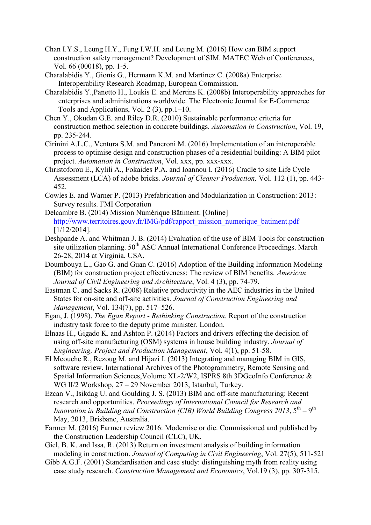- Chan I.Y.S., Leung H.Y., Fung I.W.H. and Leung M. (2016) How can BIM support construction safety management? Development of SIM. MATEC Web of Conferences, Vol. 66 (00018), pp. 1-5.
- Charalabidis Y., Gionis G., Hermann K.M. and Martinez C. (2008a) Enterprise Interoperability Research Roadmap, European Commission.
- Charalabidis Y.,Panetto H., Loukis E. and Mertins K. (2008b) Interoperability approaches for enterprises and administrations worldwide. The Electronic Journal for E-Commerce Tools and Applications, Vol. 2 (3), pp.1–10.
- Chen Y., Okudan G.E. and Riley D.R. (2010) Sustainable performance criteria for construction method selection in concrete buildings. *Automation in Construction*, Vol. 19, pp. 235-244.
- Cirinini A.L.C., Ventura S.M. and Paneroni M. (2016) Implementation of an interoperable process to optimise design and construction phases of a residential building: A BIM pilot project. *Automation in Construction*, Vol. xxx, pp. xxx-xxx.
- Christoforou E., Kylili A., Fokaides P.A. and Ioannou I. (2016) Cradle to site Life Cycle Assessment (LCA) of adobe bricks*. Journal of Cleaner Production,* Vol. 112 (1), pp. 443- 452.
- Cowles E. and Warner P. (2013) Prefabrication and Modularization in Construction: 2013: Survey results. FMI Corporation
- Delcambre B. (2014) Mission Numérique Bâtiment. [Online] [http://www.territoires.gouv.fr/IMG/pdf/rapport\\_mission\\_numerique\\_batiment.pdf](http://www.territoires.gouv.fr/IMG/pdf/rapport_mission_numerique_batiment.pdf) [1/12/2014].
- Deshpande A. and Whitman J. B. (2014) Evaluation of the use of BIM Tools for construction site utilization planning.  $50<sup>th</sup>$  ASC Annual International Conference Proceedings. March 26-28, 2014 at Virginia, USA.
- Doumbouya L., Gao G. and Guan C. (2016) Adoption of the Building Information Modeling (BIM) for construction project effectiveness: The review of BIM benefits. *American Journal of Civil Engineering and Architecture*, Vol. 4 (3), pp. 74-79.
- Eastman C. and Sacks R. (2008) Relative productivity in the AEC industries in the United States for on-site and off-site activities. *Journal of Construction Engineering and Management*, Vol. 134(7), pp. 517–526.
- Egan, J. (1998). *The Egan Report Rethinking Construction*. Report of the construction industry task force to the deputy prime minister. London.
- Elnaas H., Gigado K. and Ashton P. (2014) Factors and drivers effecting the decision of using off-site manufacturing (OSM) systems in house building industry. *Journal of Engineering, Project and Production Management*, Vol. 4(1), pp. 51-58.
- El Meouche R., Rezoug M. and Hijazi I. (2013) Integrating and managing BIM in GIS, software review. International Archives of the Photogrammetry, Remote Sensing and Spatial Information Sciences,Volume XL-2/W2, ISPRS 8th 3DGeoInfo Conference & WG II/2 Workshop, 27 – 29 November 2013, Istanbul, Turkey.
- Ezcan V., Isikdag U. and Goulding J. S. (2013) BIM and off-site manufacturing: Recent research and opportunities. *Proceedings of International Council for Research and Innovation in Building and Construction (CIB) World Building Congress 2013*,  $5^{th} - 9^{th}$ May, 2013, Brisbane, Australia.
- Farmer M. (2016) Farmer review 2016: Modernise or die. Commissioned and published by the Construction Leadership Council (CLC), UK.
- Giel, B. K. and Issa, R. (2013) Return on investment analysis of building information modeling in construction. *Journal of Computing in Civil Engineering*, Vol. 27(5), 511-521
- Gibb A.G.F. (2001) Standardisation and case study: distinguishing myth from reality using case study research. *Construction Management and Economics*, [Vol.19 \(](http://www.tandfonline.com/loi/rcme20?open=19#vol_19)3), pp. 307-315.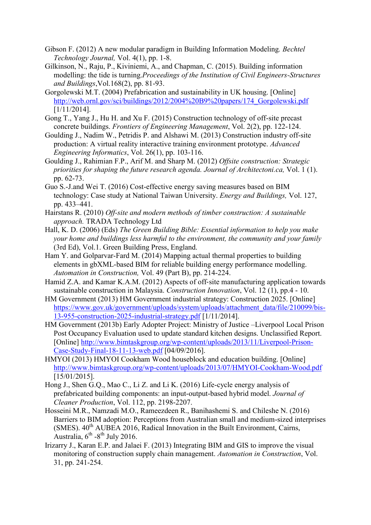- Gibson F. (2012) A new modular paradigm in Building Information Modeling*. Bechtel Technology Journal,* Vol. 4(1), pp. 1-8.
- Gilkinson, N., Raju, P., Kiviniemi, A., and Chapman, C. (2015). Building information modelling: the tide is turning.*Proceedings of the Institution of Civil Engineers-Structures and Buildings*,Vol.168(2), pp. 81-93.
- Gorgolewski M.T. (2004) Prefabrication and sustainability in UK housing. [Online] [http://web.ornl.gov/sci/buildings/2012/2004%20B9%20papers/174\\_Gorgolewski.pdf](http://web.ornl.gov/sci/buildings/2012/2004%20B9%20papers/174_Gorgolewski.pdf) [1/11/2014].
- Gong T., Yang J., Hu H. and Xu F. (2015) Construction technology of off-site precast concrete buildings. *Frontiers of Engineering Management*, Vol. 2(2), pp. 122-124.
- Goulding J., Nadim W., Petridis P. and Alshawi M. (2013) Construction industry off-site production: A virtual reality interactive training environment prototype. *[Advanced](http://www.sciencedirect.com/science/journal/14740346)  [Engineering Informatics](http://www.sciencedirect.com/science/journal/14740346)*, [Vol. 26\(1\)](http://www.sciencedirect.com/science/journal/14740346/26/1), pp. 103-116.
- Goulding J., Rahimian F.P., Arif M. and Sharp M. (2012) *Offsite construction: Strategic priorities for shaping the future research agenda. Journal of Architectoni.ca,* Vol. 1 (1). pp. 62-73.
- Guo S.-J.and Wei T. (2016) Cost-effective energy saving measures based on BIM technology: Case study at National Taiwan University. *Energy and Buildings,* Vol. 127, pp. 433–441.
- [Hairstans](https://www.amazon.co.uk/Robert-Hairstans/e/B0057PQ36I/ref=dp_byline_cont_book_1) R. (2010) *Off-site and modern methods of timber construction: A sustainable approach.* TRADA Technology Ltd
- Hall, K. D. (2006) (Eds) *The Green Building Bible: Essential information to help you make your home and buildings less harmful to the environment, the community and your family* (3rd Ed), Vol.1. Green Building Press, England.
- Ham Y. and Golparvar-Fard M. (2014) Mapping actual thermal properties to building elements in gbXML-based BIM for reliable building energy performance modelling. *Automation in Construction,* Vol. 49 (Part B), pp. 214-224.
- Hamid Z.A. and Kamar K.A.M. (2012) Aspects of off-site manufacturing application towards sustainable construction in Malaysia. *Construction Innovation*, Vol. 12 (1), pp.4 - 10.
- HM Government (2013) HM Government industrial strategy: Construction 2025. [Online] [https://www.gov.uk/government/uploads/system/uploads/attachment\\_data/file/210099/bis-](https://www.gov.uk/government/uploads/system/uploads/attachment_data/file/210099/bis-13-955-construction-2025-industrial-strategy.pdf)[13-955-construction-2025-industrial-strategy.pdf](https://www.gov.uk/government/uploads/system/uploads/attachment_data/file/210099/bis-13-955-construction-2025-industrial-strategy.pdf) [1/11/2014].
- HM Government (2013b) Early Adopter Project: Ministry of Justice –Liverpool Local Prison Post Occupancy Evaluation used to update standard kitchen designs. Unclassified Report. [Online] [http://www.bimtaskgroup.org/wp-content/uploads/2013/11/Liverpool-Prison-](http://www.bimtaskgroup.org/wp-content/uploads/2013/11/Liverpool-Prison-Case-Study-Final-18-11-13-web.pdf)[Case-Study-Final-18-11-13-web.pdf](http://www.bimtaskgroup.org/wp-content/uploads/2013/11/Liverpool-Prison-Case-Study-Final-18-11-13-web.pdf) [04/09/2016].
- HMYOI (2013) HMYOI Cookham Wood houseblock and education building. [Online] <http://www.bimtaskgroup.org/wp-content/uploads/2013/07/HMYOI-Cookham-Wood.pdf> [15/01/2015].
- Hong J., Shen G.Q., Mao C., Li Z. and Li K. (2016) Life-cycle energy analysis of prefabricated building components: an input-output-based hybrid model. *Journal of Cleaner Production*, Vol. 112, pp. 2198-2207.
- Hosseini M.R., Namzadi M.O., Rameezdeen R., Banihashemi S. and Chileshe N. (2016) Barriers to BIM adoption: Perceptions from Australian small and medium-sized interprises (SMES).  $40^{th}$  AUBEA 2016, Radical Innovation in the Built Environment, Cairns, Australia,  $6^{\text{th}}$  -8<sup>th</sup> July 2016.
- Irizarry J., Karan E.P. and Jalaei F. (2013) Integrating BIM and GIS to improve the visual monitoring of construction supply chain management. *Automation in Construction*, Vol. 31, pp. 241-254.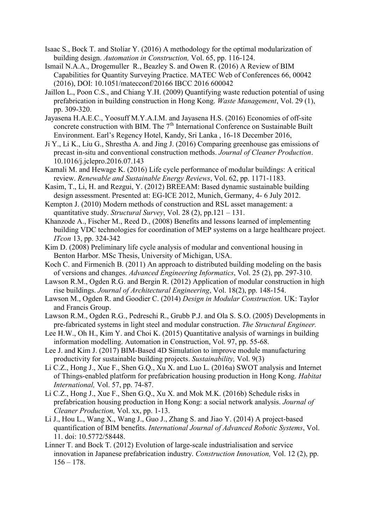- Isaac S., Bock T. and Stolíar Y. (2016) A methodology for the optimal modularization of building design. *Automation in Construction,* Vol. 65, pp. 116-124.
- Ismail N.A.A., Drogemuller R., Beazley S. and Owen R. (2016) A Review of BIM Capabilities for Quantity Surveying Practice. MATEC Web of Conferences 66, 00042 (2016), DOI: 10.1051/matecconf/20166 IBCC 2016 600042
- Jaillon L., Poon C.S., and Chiang Y.H. (2009) Quantifying waste reduction potential of using prefabrication in building construction in Hong Kong. *Waste Management*, Vol. 29 (1), pp. 309-320.
- Jayasena H.A.E.C., Yoosuff M.Y.A.I.M. and Jayasena H.S. (2016) Economies of off-site concrete construction with BIM. The  $7<sup>th</sup>$  International Conference on Sustainable Built Environment. Earl's Regency Hotel, Kandy, Sri Lanka , 16-18 December 2016,
- Ji Y., Li K., Liu G., Shrestha A. and Jing J. (2016) Comparing greenhouse gas emissions of precast in-situ and conventional construction methods. *Journal of Cleaner Production*. 10.1016/j.jclepro.2016.07.143
- Kamali M. and Hewage K. (2016) Life cycle performance of modular buildings: A critical review. *Renewable and Sustainable Energy Reviews*, Vol. 62, pp. 1171-1183.
- [Kasim, T.,](http://orca.cf.ac.uk/view/cardiffauthors/A299120F.html) [Li, H.](http://orca.cf.ac.uk/view/cardiffauthors/A006402V.html) and [Rezgui, Y.](http://orca.cf.ac.uk/view/cardiffauthors/A131065N.html) (2012) BREEAM: Based dynamic sustainable building design assessment. Presented at: EG-ICE 2012, Munich, Germany, 4- 6 July 2012.
- [Kempton](http://www.emeraldinsight.com/action/doSearch?target=emerald&logicalOpe0=AND&text1=Kempton,%20J&field1=Contrib) J. (2010) Modern methods of construction and RSL asset management: a quantitative study. *Structural Survey*, Vol. 28 (2), pp.121 – 131.
- Khanzode A., Fischer M., Reed D., (2008) Benefits and lessons learned of implementing building VDC technologies for coordination of MEP systems on a large healthcare project. *ITcon* 13, pp. 324-342
- Kim D. (2008) Preliminary life cycle analysis of modular and conventional housing in Benton Harbor. MSc Thesis, University of Michigan, USA.
- Koch C. and Firmenich B. (2011) An approach to distributed building modeling on the basis of versions and changes. *Advanced Engineering Informatics*, Vol. 25 (2), pp. 297-310.
- Lawson R.M., Ogden R.G. and Bergin R. (2012) Application of modular construction in high rise buildings. *Journal of Architectural Engineering*, Vol. 18(2), pp. 148-154.
- Lawson M., Ogden R. and Goodier C. (2014) *Design in Modular Construction.* UK: Taylor and Francis Group.
- Lawson R.M., Ogden R.G., Pedreschi R., Grubb P.J. and Ola S. S.O. (2005) Developments in pre-fabricated systems in light steel and modular construction. *The Structural Engineer.*
- Lee H.W., Oh H., Kim Y. and Choi K. (2015) Quantitative analysis of warnings in building information modelling. Automation in Construction, Vol. 97, pp. 55-68.
- Lee J. and Kim J. (2017) BIM-Based 4D Simulation to improve module manufacturing productivity for sustainable building projects. *Sustainability,* Vol. 9(3)
- Li C.Z., Hong J., Xue F., Shen G.Q., Xu X. and Luo L. (2016a) SWOT analysis and Internet of Things-enabled platform for prefabrication housing production in Hong Kong. *Habitat International,* Vol. 57, pp. 74-87.
- Li C.Z., Hong J., Xue F., Shen G.Q., Xu X. and Mok M.K. (2016b) Schedule risks in prefabrication housing production in Hong Kong: a social network analysis. *Journal of Cleaner Production,* Vol. xx, pp. 1-13.
- Li J., Hou L., Wang X., Wang J., Guo J., Zhang S. and Jiao Y. (2014) A project-based quantification of BIM benefits. *International Journal of Advanced Robotic Systems*, Vol. 11. doi: 10.5772/58448.
- Linner T. and Bock T. (2012) Evolution of large-scale industrialisation and service innovation in Japanese prefabrication industry. *Construction Innovation,* Vol. 12 (2), pp.  $156 - 178.$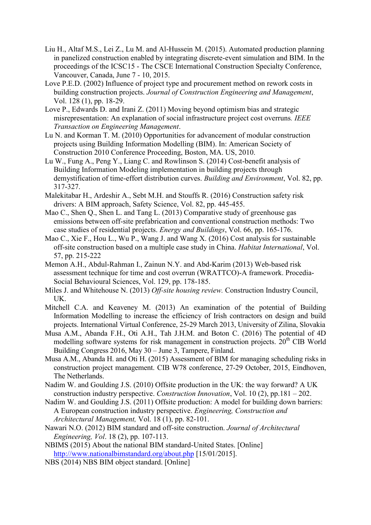- Liu H., Altaf M.S., Lei Z., Lu M. and Al-Hussein M. (2015). Automated production planning in panelized construction enabled by integrating discrete-event simulation and BIM. In the proceedings of the [ICSC15 - The CSCE International Construction Specialty Conference,](http://icsc15.engineering.ubc.ca/)  [Vancouver, Canada, June 7 - 10, 2015.](http://icsc15.engineering.ubc.ca/)
- Love P.E.D. (2002) Influence of project type and procurement method on rework costs in building construction projects. *[Journal of Construction Engineering and Management](http://ascelibrary.org/journal/jcemd4)*, Vol. 128 (1), pp. 18-29.
- Love P., Edwards D. and Irani Z. (2011) Moving beyond optimism bias and strategic misrepresentation: An explanation of social infrastructure project cost overruns*. IEEE Transaction on Engineering Management*.
- Lu N. and Korman T. M. (2010) Opportunities for advancement of modular construction projects using Building Information Modelling (BIM). In: American Society of Construction 2010 Conference Proceeding, Boston, MA. US, 2010.
- Lu W., Fung A., Peng Y., Liang C. and Rowlinson S. (2014) Cost-benefit analysis of Building Information Modeling implementation in building projects through demystification of time-effort distribution curves. *Building and Environment*, Vol. 82, pp. 317-327.
- Malekitabar H., Ardeshir A., Sebt M.H. and Stouffs R. (2016) Construction safety risk drivers: A BIM approach, Safety Science, Vol. 82, pp. 445-455.
- Mao C., Shen Q., Shen L. and Tang L. (2013) Comparative study of greenhouse gas emissions between off-site prefabrication and conventional construction methods: Two case studies of residential projects. *Energy and Buildings*, Vol. 66, pp. 165-176.
- Mao C., Xie F., Hou L., Wu P., Wang J. and Wang X. (2016) Cost analysis for sustainable off-site construction based on a multiple case study in China. *Habitat International*, Vol. 57, pp. 215-222
- Memon A.H., Abdul-Rahman I., Zainun N.Y. and Abd-Karim (2013) Web-based risk assessment technique for time and cost overrun (WRATTCO)-A framework. Procedia-Social Behavioural Sciences, Vol. 129, pp. 178-185.
- Miles J. and Whitehouse N. (2013) *Off-site housing review.* Construction Industry Council, UK.
- Mitchell C.A. and Keaveney M. (2013) An examination of the potential of Building Information Modelling to increase the efficiency of Irish contractors on design and build projects. International Virtual Conference, 25-29 March 2013, University of Zilina, Slovakia
- Musa A.M., Abanda F.H., Oti A.H., Tah J.H.M. and Boton C. (2016) The potential of 4D modelling software systems for risk management in construction projects.  $20<sup>th</sup>$  CIB World Building Congress 2016, May 30 – June 3, Tampere, Finland.
- Musa A.M., Abanda H. and Oti H. (2015) Assessment of BIM for managing scheduling risks in construction project management. CIB W78 conference, 27-29 October, 2015, Eindhoven, The Netherlands.
- Nadim W. and Goulding J.S. (2010) Offsite production in the UK: the way forward? A UK construction industry perspective. *Construction Innovation*, Vol. 10 (2), pp.181 – 202.
- Nadim W. and Goulding J.S. (2011) Offsite production: A model for building down barriers: A European construction industry perspective. *Engineering, Construction and Architectural Management,* Vol. 18 (1), pp. 82-101.
- Nawari N.O. (2012) BIM standard and off-site construction. *Journal of Architectural Engineering, Vol*. 18 (2), pp. 107-113.
- NBIMS (2015) About the national BIM standard-United States. [Online] <http://www.nationalbimstandard.org/about.php> [15/01/2015].
- NBS (2014) NBS BIM object standard. [Online]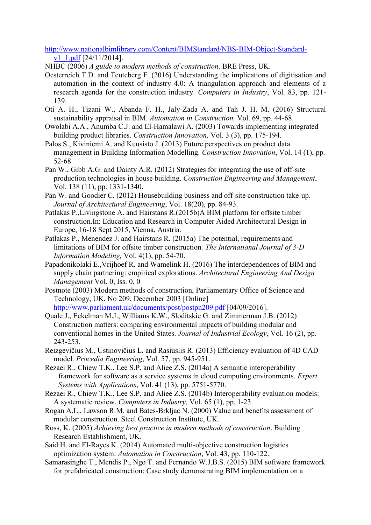[http://www.nationalbimlibrary.com/Content/BIMStandard/NBS-BIM-Object-Standard](http://www.nationalbimlibrary.com/Content/BIMStandard/NBS-BIM-Object-Standard-v1_1.pdf)[v1\\_1.pdf](http://www.nationalbimlibrary.com/Content/BIMStandard/NBS-BIM-Object-Standard-v1_1.pdf) [24/11/2014].

NHBC (2006) *A guide to modern methods of construction*. BRE Press, UK.

- Oesterreich T.D. and Teuteberg F. (2016) Understanding the implications of digitisation and automation in the context of industry 4.0: A triangulation approach and elements of a research agenda for the construction industry. *Computers in Industry*, Vol. 83, pp. 121- 139.
- Oti A. H., Tizani W., Abanda F. H., Jaly-Zada A. and Tah J. H. M. (2016) Structural sustainability appraisal in BIM. *Automation in Construction,* Vol. 69, pp. 44-68.
- Owolabi A.A., Anumba C.J. and El-Hamalawi A. (2003) Towards implementing integrated building product libraries. *Construction Innovation,* Vol. 3 (3), pp. 175-194.
- Palos S., Kiviniemi A. and Kuusisto J. (2013) Future perspectives on product data management in Building Information Modelling. *Construction Innovation*, Vol. 14 (1), pp. 52-68.
- Pan W., Gibb A.G. and Dainty A.R. (2012) Strategies for integrating the use of off-site production technologies in house building. *Construction Engineering and Management*, Vol. 138 (11), pp. 1331-1340.
- Pan W. and Goodier C. (2012) Housebuilding business and off-site construction take-up. *Journal of Architectural Engineering*, Vol. 18(20), pp. 84-93.
- Patlakas P.,Livingstone A. and Hairstans R.(2015b)A BIM platform for offsite timber construction.In: Education and Research in Computer Aided Architectural Design in Europe, 16-18 Sept 2015, Vienna, Austria.
- Patlakas P., Menendez J. and Hairstans R. (2015a) The potential, requirements and limitations of BIM for offsite timber construction*. The International Journal of 3-D Information Modeling,* Vol. 4(1), pp. 54-70.
- [Papadonikolaki](http://www.tandfonline.com/author/Papadonikolaki%2C+Eleni) E.[,Vrijhoef](http://www.tandfonline.com/author/Vrijhoef%2C+Ruben) R. and [Wamelink](http://www.tandfonline.com/author/Wamelink%2C+Hans) H. (2016) The interdependences of BIM and supply chain partnering: empirical explorations. *[Architectural Engineering And Design](http://www.tandfonline.com/toc/taem20/0/0)  [Management](http://www.tandfonline.com/toc/taem20/0/0)* Vol. 0, Iss. 0, 0
- Postnote (2003) Modern methods of construction, Parliamentary Office of Science and Technology, UK, No 209, December 2003 [Online] <http://www.parliament.uk/documents/post/postpn209.pdf> [04/09/2016].
- Quale J., Eckelman M.J., Williams K.W., Sloditskie G. and Zimmerman J.B. (2012) Construction matters: comparing environmental impacts of building modular and conventional homes in the United States. *Journal of Industrial Ecology*, Vol. 16 (2), pp. 243-253.
- Reizgevičius M., Ustinovičius L. and Rasiuslis R. (2013) Efficiency evaluation of 4D CAD model. *Procedia Engineering*, Vol. 57, pp. 945-951.
- Rezaei R., Chiew T.K., Lee S.P. and Aliee Z.S. (2014a) A semantic interoperability framework for software as a service systems in cloud computing environments. *Expert Systems with Applications*, Vol. 41 (13), pp. 5751-5770.
- Rezaei R., Chiew T.K., Lee S.P. and Aliee Z.S. (2014b) Interoperability evaluation models: A systematic review. *Computers in Industry,* Vol. 65 (1), pp. 1-23.
- Rogan A.L., Lawson R.M. and Bates-Brkljac N. (2000) Value and benefits assessment of modular construction. Steel Construction Institute, UK.
- Ross, K. (2005) *Achieving best practice in modern methods of construction*. Building Research Establishment, UK.
- Said H. and El-Rayes K. (2014) Automated multi-objective construction logistics optimization system. *Automation in Construction*, Vol. 43, pp. 110-122.
- Samarasinghe T., Mendis P., Ngo T. and Fernando W.J.B.S. (2015) BIM software framework for prefabricated construction: Case study demonstrating BIM implementation on a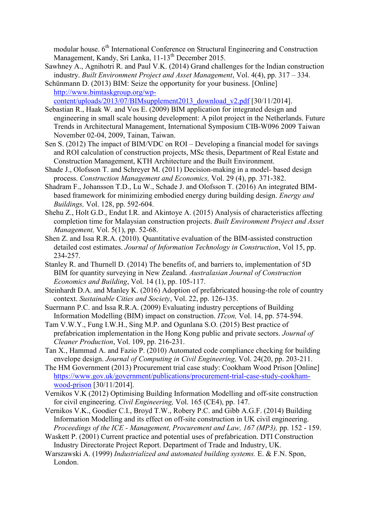modular house. 6<sup>th</sup> International Conference on Structural Engineering and Construction Management, Kandy, Sri Lanka, 11-13<sup>th</sup> December 2015.

- Sawhney A., Agnihotri R. and Paul V.K. (2014) Grand challenges for the Indian construction industry. *Built Environment Project and Asset Management*, Vol. 4(4), pp. 317 – 334.
- Schünmann D. (2013) BIM: Seize the opportunity for your business. [Online] [http://www.bimtaskgroup.org/wp-](http://www.bimtaskgroup.org/wp-content/uploads/2013/07/BIMsupplement2013_download_v2.pdf)

[content/uploads/2013/07/BIMsupplement2013\\_download\\_v2.pdf](http://www.bimtaskgroup.org/wp-content/uploads/2013/07/BIMsupplement2013_download_v2.pdf) [30/11/2014].

- Sebastian R., Haak W. and Vos E. (2009) BIM application for integrated design and engineering in small scale housing development: A pilot project in the Netherlands. Future Trends in Architectural Management, International Symposium CIB-W096 2009 Taiwan November 02-04, 2009, Tainan, Taiwan.
- Sen S. (2012) The impact of BIM/VDC on ROI Developing a financial model for savings and ROI calculation of construction projects, MSc thesis, Department of Real Estate and Construction Management, KTH Architecture and the Built Environment.
- Shade J., Olofsson T. and Schreyer M. (2011) Decision-making in a model- based design process. *Construction Management and Economics,* Vol. 29 (4), pp. 371-382.
- Shadram F., Johansson T.D., Lu W., Schade J. and Olofsson T. (2016) An integrated BIMbased framework for minimizing embodied energy during building design. *Energy and Buildings,* Vol. 128, pp. 592-604.
- Shehu Z., Holt G.D., Endut I.R. and Akintoye A. (2015) Analysis of characteristics affecting completion time for Malaysian construction projects. *Built Environment Project and Asset Management,* Vol. 5(1), pp. 52-68.
- Shen Z. and Issa R.R.A. (2010). Quantitative evaluation of the BIM-assisted construction detailed cost estimates. *Journal of Information Technology in Construction*, Vol 15, pp. 234-257.
- Stanley R. and Thurnell D. (2014) The benefits of, and barriers to, implementation of 5D BIM for quantity surveying in New Zealand. *Australasian Journal of Construction Economics and Building*, Vol. 14 (1), pp. 105-117.
- Steinhardt D.A. and Manley K. (2016) Adoption of prefabricated housing-the role of country context. *Sustainable Cities and Society*, Vol. 22, pp. 126-135.
- Suermann P.C. and Issa R.R.A. (2009) Evaluating industry perceptions of Building Information Modelling (BIM) impact on construction. *ITcon,* Vol. 14, pp. 574-594.
- Tam V.W.Y., Fung I.W.H., Sing M.P. and Ogunlana S.O. (2015) Best practice of prefabrication implementation in the Hong Kong public and private sectors. *Journal of Cleaner Production*, Vol. 109, pp. 216-231.
- Tan X., Hammad A. and Fazio P. (2010) Automated code compliance checking for building envelope design. *Journal of Computing in Civil Engineering,* Vol. 24(20, pp. 203-211.
- The HM Government (2013) Procurement trial case study: Cookham Wood Prison [Online] [https://www.gov.uk/government/publications/procurement-trial-case-study-cookham](https://www.gov.uk/government/publications/procurement-trial-case-study-cookham-wood-prison)[wood-prison](https://www.gov.uk/government/publications/procurement-trial-case-study-cookham-wood-prison) [30/11/2014].
- Vernikos V.K (2012) Optimising Building Information Modelling and off-site construction for civil engineering. *Civil Engineering,* Vol. 165 (CE4), pp. 147.
- Vernikos V.K., Goodier C.I., Broyd T.W., Robery P.C. and Gibb A.G.F. (2014) Building Information Modelling and its effect on off-site construction in UK civil engineering. *Proceedings of the ICE - Management, Procurement and Law, 167 (MP3),* pp. 152 - 159.
- Waskett P. (2001) Current practice and potential uses of prefabrication. DTI Construction Industry Directorate Project Report. Department of Trade and Industry, UK.
- Warszawski A. (1999) *Industrialized and automated building systems.* E. & F.N. Spon, London.